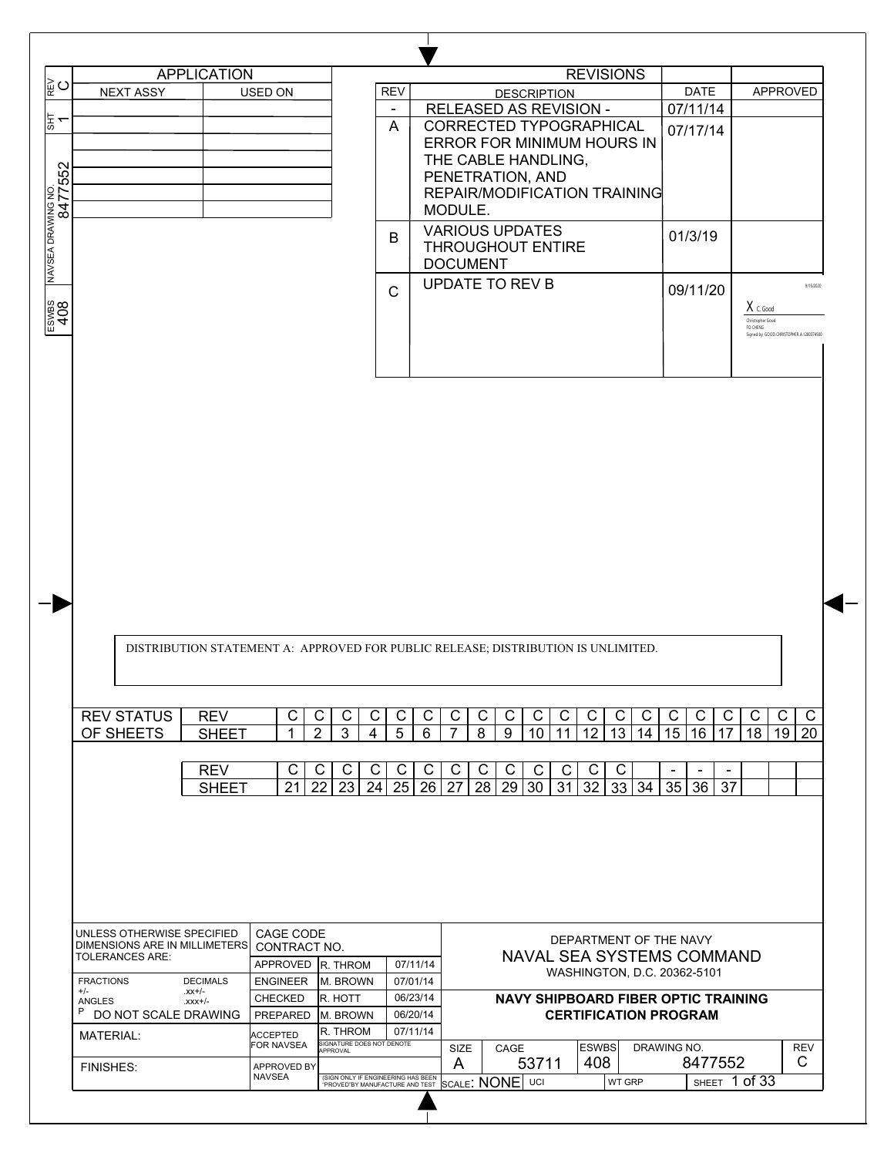| ∥∝ຼ∪<br>능                   |                                                                          |                       |                   |                                       |                |                                                                                   |                                  |                                                      |
|-----------------------------|--------------------------------------------------------------------------|-----------------------|-------------------|---------------------------------------|----------------|-----------------------------------------------------------------------------------|----------------------------------|------------------------------------------------------|
|                             |                                                                          | <b>APPLICATION</b>    |                   |                                       |                | <b>REVISIONS</b>                                                                  |                                  |                                                      |
|                             | <b>NEXT ASSY</b>                                                         |                       | <b>USED ON</b>    |                                       | <b>REV</b>     | <b>DESCRIPTION</b>                                                                | <b>DATE</b>                      | APPROVED                                             |
|                             |                                                                          |                       |                   |                                       | $\blacksquare$ | RELEASED AS REVISION -                                                            | 07/11/14                         |                                                      |
|                             |                                                                          |                       |                   |                                       | A              | CORRECTED TYPOGRAPHICAL                                                           | 07/17/14                         |                                                      |
|                             |                                                                          |                       |                   |                                       |                | ERROR FOR MINIMUM HOURS IN                                                        |                                  |                                                      |
|                             |                                                                          |                       |                   |                                       |                | THE CABLE HANDLING,                                                               |                                  |                                                      |
|                             |                                                                          |                       |                   |                                       |                | PENETRATION, AND                                                                  |                                  |                                                      |
|                             |                                                                          |                       |                   |                                       |                | REPAIR/MODIFICATION TRAINING                                                      |                                  |                                                      |
|                             |                                                                          |                       |                   |                                       |                | MODULE.                                                                           |                                  |                                                      |
| NAVSEA DRAWING NO.<br> <br> |                                                                          |                       |                   |                                       | в              | <b>VARIOUS UPDATES</b>                                                            | 01/3/19                          |                                                      |
|                             |                                                                          |                       |                   |                                       |                | <b>THROUGHOUT ENTIRE</b>                                                          |                                  |                                                      |
|                             |                                                                          |                       |                   |                                       |                | <b>DOCUMENT</b>                                                                   |                                  |                                                      |
|                             |                                                                          |                       |                   |                                       | $\mathsf{C}$   | <b>UPDATE TO REV B</b>                                                            | 09/11/20                         | 9/15/2020                                            |
|                             |                                                                          |                       |                   |                                       |                |                                                                                   |                                  | $X_{C. Good}$                                        |
|                             |                                                                          |                       |                   |                                       |                |                                                                                   |                                  | Christopher Good                                     |
|                             |                                                                          |                       |                   |                                       |                |                                                                                   |                                  | FO CHENG<br>Signed by: GOOD.CHRISTOPHER.A.1280374500 |
|                             |                                                                          |                       |                   |                                       |                |                                                                                   |                                  |                                                      |
|                             |                                                                          |                       |                   |                                       |                |                                                                                   |                                  |                                                      |
|                             |                                                                          |                       |                   |                                       |                |                                                                                   |                                  |                                                      |
|                             |                                                                          |                       |                   |                                       |                | DISTRIBUTION STATEMENT A: APPROVED FOR PUBLIC RELEASE; DISTRIBUTION IS UNLIMITED. |                                  |                                                      |
|                             | <b>REV STATUS</b>                                                        | <b>REV</b>            | C                 | C<br>C<br>C                           | C              | C<br>C<br>C<br>C<br>C<br>C<br>C<br>C                                              | C<br>C<br>C<br>C                 | $\mathsf C$<br>C<br>C                                |
|                             | OF SHEETS                                                                | <b>SHEET</b>          | 1                 | $\overline{2}$<br>3<br>4              | $\overline{5}$ | $\overline{7}$<br>$\overline{13}$<br>6<br>8<br>9<br>12<br>10<br>11                | 15<br>16<br>14<br>17             | 18<br>20<br>19                                       |
|                             |                                                                          |                       |                   |                                       |                |                                                                                   |                                  |                                                      |
|                             |                                                                          | <b>REV</b>            | C                 | С<br>C<br>С                           | C              | C<br>C<br>C<br>C<br>$\mathsf{C}$<br>C<br>C<br>C                                   | $\blacksquare$<br>$\blacksquare$ |                                                      |
|                             |                                                                          | <b>SHEET</b>          | 21                | 22<br>24<br>23                        | 25             | 28<br>29<br>32<br>26<br>27<br>30<br>31<br>33                                      | 34<br>37<br>35<br>36             |                                                      |
|                             |                                                                          |                       |                   |                                       |                |                                                                                   |                                  |                                                      |
|                             | UNLESS OTHERWISE SPECIFIED<br>DIMENSIONS ARE IN MILLIMETERS CONTRACT NO. |                       | CAGE CODE         |                                       |                | DEPARTMENT OF THE NAVY                                                            |                                  |                                                      |
|                             | <b>TOLERANCES ARE:</b>                                                   |                       | APPROVED R. THROM |                                       | 07/11/14       | NAVAL SEA SYSTEMS COMMAND                                                         |                                  |                                                      |
| <b>FRACTIONS</b>            |                                                                          | <b>DECIMALS</b>       | <b>ENGINEER</b>   | M. BROWN                              | 07/01/14       | WASHINGTON, D.C. 20362-5101                                                       |                                  |                                                      |
| $+/-$<br><b>ANGLES</b>      |                                                                          | $-xx+/-$<br>$-xxx+/-$ | <b>CHECKED</b>    | R. HOTT                               | 06/23/14       | <b>NAVY SHIPBOARD FIBER OPTIC TRAINING</b>                                        |                                  |                                                      |
| P                           | DO NOT SCALE DRAWING                                                     |                       | PREPARED          | M. BROWN                              | 06/20/14       | <b>CERTIFICATION PROGRAM</b>                                                      |                                  |                                                      |
| MATERIAL:                   |                                                                          |                       | <b>ACCEPTED</b>   | R. THROM                              | 07/11/14       |                                                                                   |                                  |                                                      |
|                             |                                                                          |                       | FOR NAVSEA        | SIGNATURE DOES NOT DENOTE<br>APPROVAL |                | CAGE<br><b>ESWBS</b><br>SIZE<br>408<br>A<br>53711                                 | DRAWING NO.<br>8477552           | <b>REV</b><br>C                                      |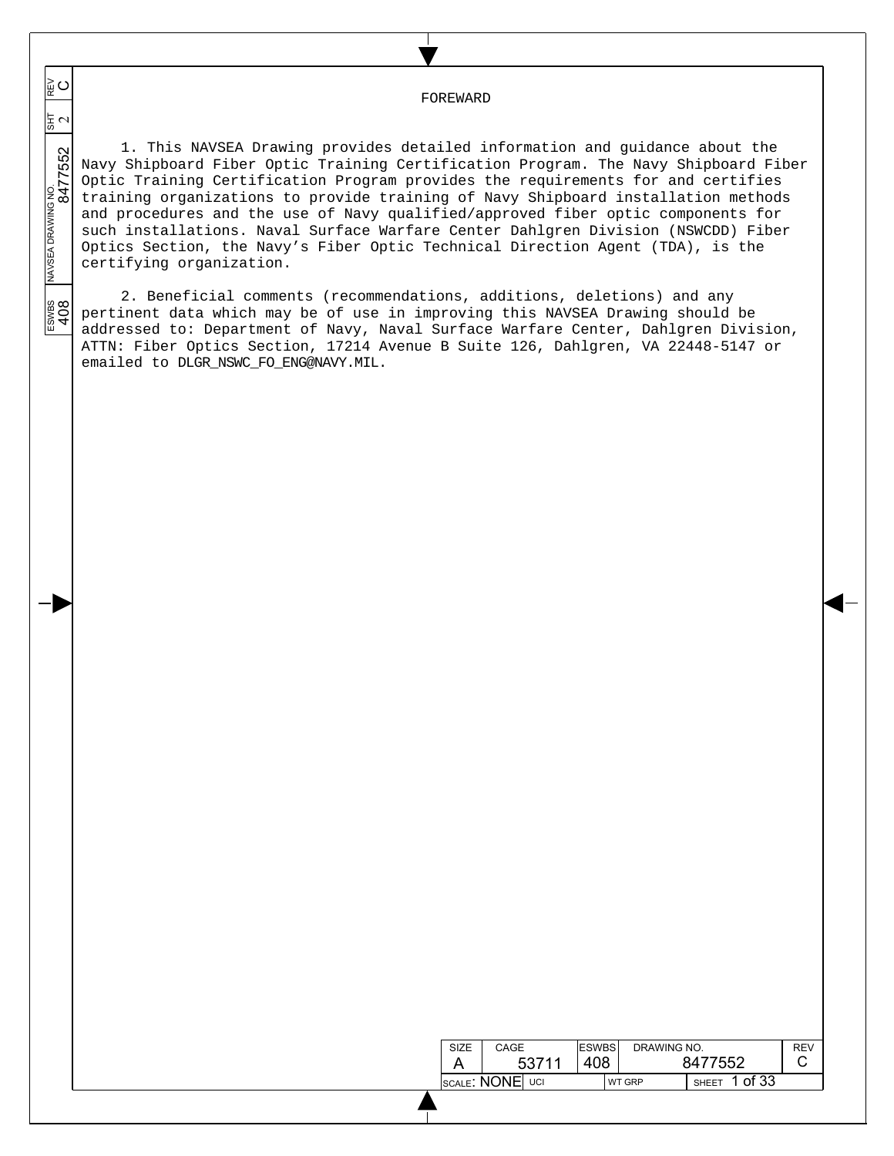FOREWARD

 $\overline{\phantom{a}}$  $\overline{\phantom{a}}$  $\overline{\phantom{a}}$ 

§<br>⊘

 $\overline{\phantom{a}}$  $\overline{\phantom{a}}$ 

 $\overline{\phantom{a}}$ 

 $\frac{200}{408}$ 

ESWBS NAVSEA DRAWING NO.  $\frac{1}{817}$  REV 8477552 2 1. This NAVSEA Drawing provides detailed information and guidance about the Navy Shipboard Fiber Optic Training Certification Program. The Navy Shipboard Fiber Optic Training Certification Program provides the requirements for and certifies training organizations to provide training of Navy Shipboard installation methods and procedures and the use of Navy qualified/approved fiber optic components for such installations. Naval Surface Warfare Center Dahlgren Division (NSWCDD) Fiber Optics Section, the Navy's Fiber Optic Technical Direction Agent (TDA), is the certifying organization.

2. Beneficial comments (recommendations, additions, deletions) and any pertinent data which may be of use in improving this NAVSEA Drawing should be addressed to: Department of Navy, Naval Surface Warfare Center, Dahlgren Division, ATTN: Fiber Optics Section, 17214 Avenue B Suite 126, Dahlgren, VA 22448-5147 or emailed to DLGR\_NSWC\_FO\_ENG@NAVY.MIL.

| SIZE                             | CAGE |       | <b>IESWBS</b> | DRAWING NO.   |              |         | RF\ |
|----------------------------------|------|-------|---------------|---------------|--------------|---------|-----|
|                                  |      | 53711 | 408           |               | 8477552      |         |     |
| $\,$ scale: $\,$ NONE $\,$ I uci |      |       |               | <b>WT GRP</b> | <b>SHEET</b> | 1 of 33 |     |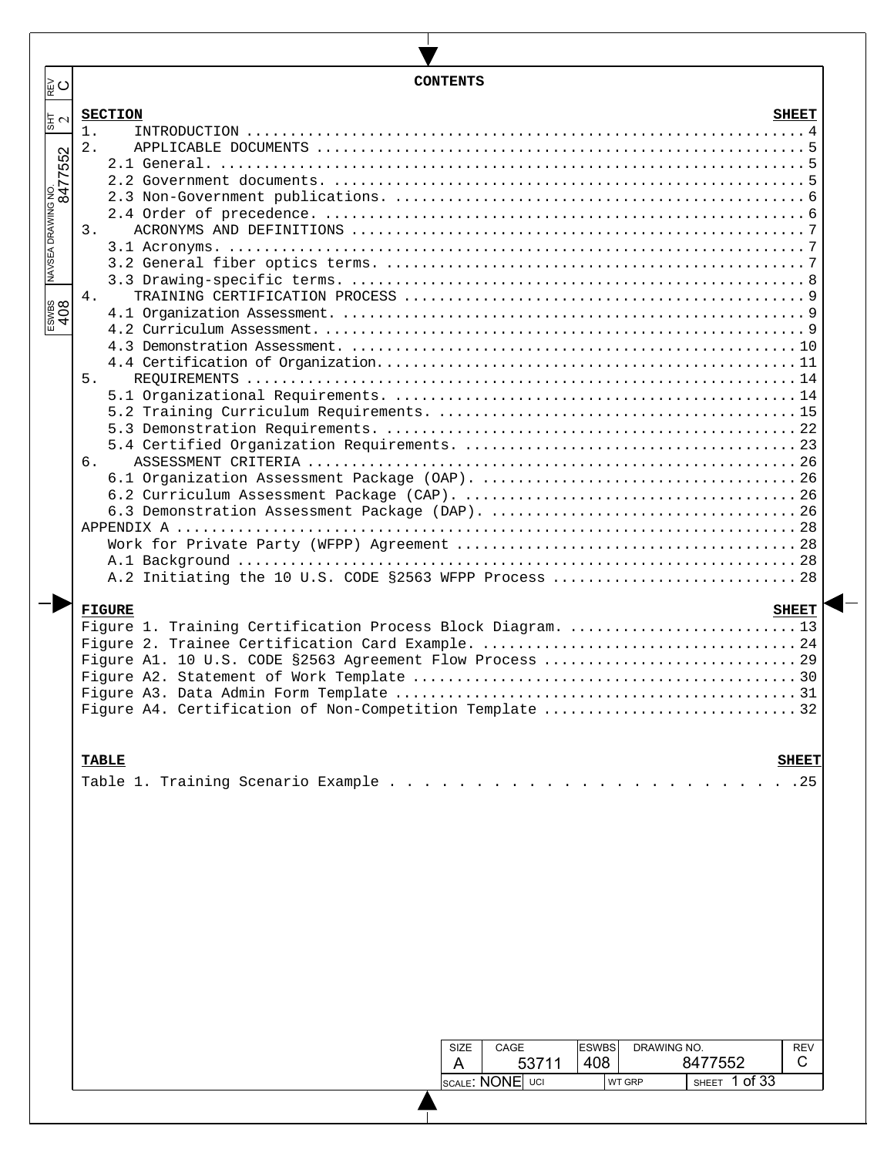| ∥⊵ບ                                                     | <b>CONTENTS</b>                                                                                                                                                                                                                                                 |
|---------------------------------------------------------|-----------------------------------------------------------------------------------------------------------------------------------------------------------------------------------------------------------------------------------------------------------------|
|                                                         | <b>SECTION</b><br><b>SHEET</b>                                                                                                                                                                                                                                  |
| $\frac{1}{2}$ $\sigma$<br>NAVSEA DRAWING NO.<br>8477552 | $1$ .<br>2.<br>3.<br>4.<br>5.<br>6.<br>A.2 Initiating the 10 U.S. CODE §2563 WFPP Process  28<br><b>FIGURE</b><br><b>SHEET</b>                                                                                                                                  |
|                                                         | Figure 1. Training Certification Process Block Diagram. 13<br>Figure A4. Certification of Non-Competition Template 32<br><b>TABLE</b><br><b>SHEET</b><br>Table 1. Training Scenario Example<br>.25<br>DRAWING NO.<br><b>ESWBS</b><br><b>REV</b><br>CAGE<br>SIZE |
|                                                         | 53711<br>408<br>8477552<br>C<br>A<br>SHEET 1 of 33<br>SCALE: NONE UCI<br>WT GRP                                                                                                                                                                                 |
|                                                         |                                                                                                                                                                                                                                                                 |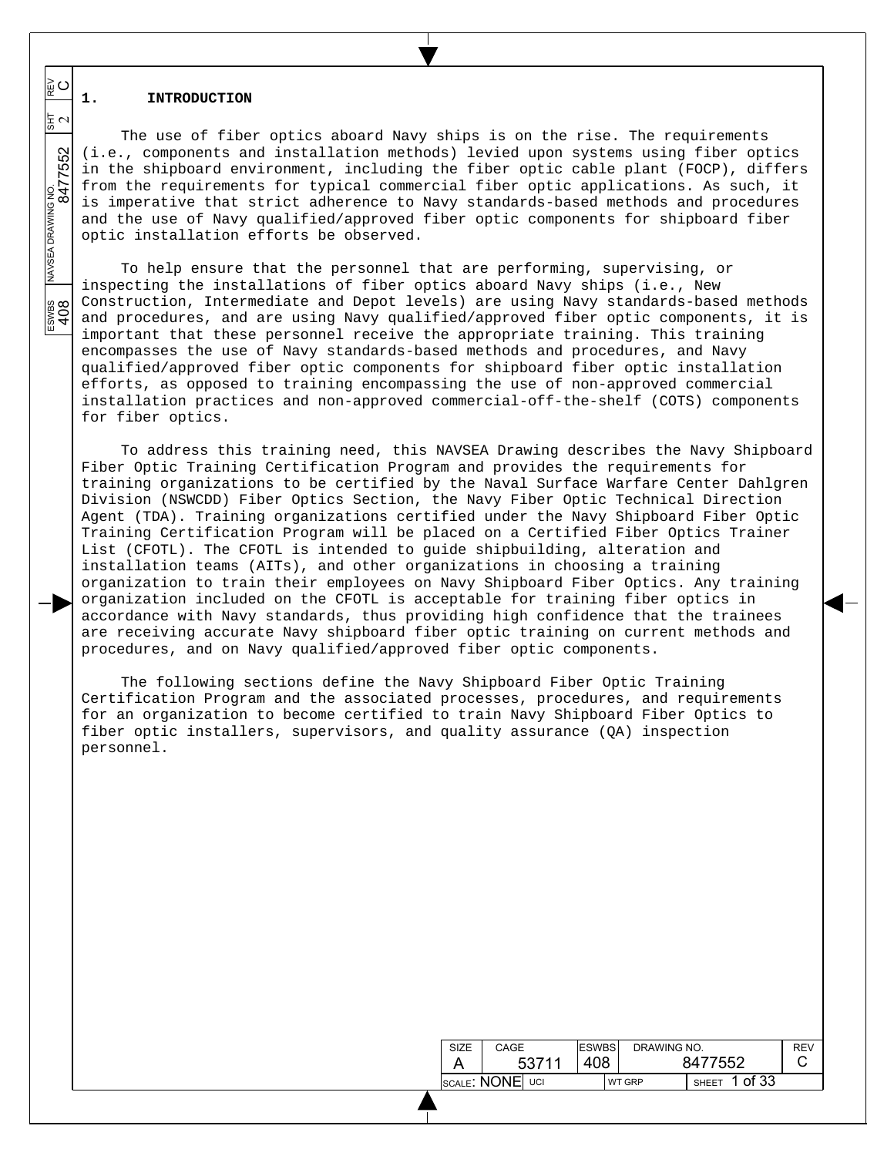### **1. INTRODUCTION**

The use of fiber optics aboard Navy ships is on the rise. The requirements (i.e., components and installation methods) levied upon systems using fiber optics in the shipboard environment, including the fiber optic cable plant (FOCP), differs from the requirements for typical commercial fiber optic applications. As such, it is imperative that strict adherence to Navy standards-based methods and procedures and the use of Navy qualified/approved fiber optic components for shipboard fiber optic installation efforts be observed.

To help ensure that the personnel that are performing, supervising, or inspecting the installations of fiber optics aboard Navy ships (i.e., New Construction, Intermediate and Depot levels) are using Navy standards-based methods and procedures, and are using Navy qualified/approved fiber optic components, it is important that these personnel receive the appropriate training. This training encompasses the use of Navy standards-based methods and procedures, and Navy qualified/approved fiber optic components for shipboard fiber optic installation efforts, as opposed to training encompassing the use of non-approved commercial installation practices and non-approved commercial-off-the-shelf (COTS) components for fiber optics.

To address this training need, this NAVSEA Drawing describes the Navy Shipboard Fiber Optic Training Certification Program and provides the requirements for training organizations to be certified by the Naval Surface Warfare Center Dahlgren Division (NSWCDD) Fiber Optics Section, the Navy Fiber Optic Technical Direction Agent (TDA). Training organizations certified under the Navy Shipboard Fiber Optic Training Certification Program will be placed on a Certified Fiber Optics Trainer List (CFOTL). The CFOTL is intended to guide shipbuilding, alteration and installation teams (AITs), and other organizations in choosing a training organization to train their employees on Navy Shipboard Fiber Optics. Any training organization included on the CFOTL is acceptable for training fiber optics in accordance with Navy standards, thus providing high confidence that the trainees are receiving accurate Navy shipboard fiber optic training on current methods and procedures, and on Navy qualified/approved fiber optic components.

The following sections define the Navy Shipboard Fiber Optic Training Certification Program and the associated processes, procedures, and requirements for an organization to become certified to train Navy Shipboard Fiber Optics to fiber optic installers, supervisors, and quality assurance (QA) inspection personnel.

| SIZE            | CAGE  | <b>ESWBS</b> | DRAWING NO.   |                       | <b>REV</b> |
|-----------------|-------|--------------|---------------|-----------------------|------------|
|                 | 53711 | 408          |               | 8477552               |            |
| SCALE: NONE UCI |       |              | <b>WT GRP</b> | of 33<br><b>SHEET</b> |            |

NAVSEA DRAWING NO.<br>8477 ESWBS NAVSEA DRAWING NO.  $\frac{1}{817}$  REV 8477552 2

 $\frac{200}{400}$ 

 $\overline{\phantom{a}}$  $\overline{\phantom{a}}$  $\overline{\phantom{a}}$ 

≩໐

동지

 $\overline{\phantom{a}}$  $\overline{\phantom{a}}$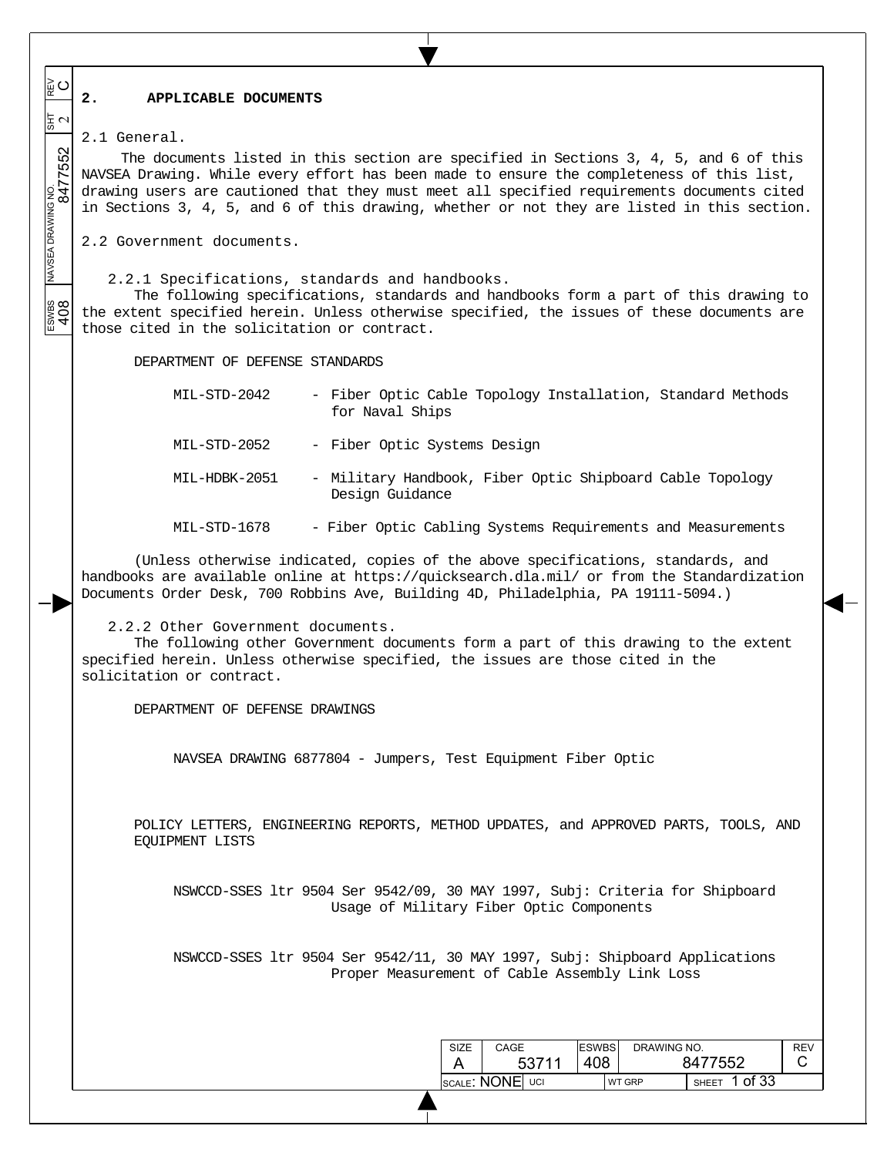### **2. APPLICABLE DOCUMENTS**

 $\frac{1}{2}$ 2.1 General.

 $\overline{\phantom{a}}$  $\overline{\phantom{a}}$  $\overline{\phantom{a}}$ 

≩໐

 $\overline{\phantom{a}}$  $\overline{\phantom{a}}$ 

 $\overline{\phantom{a}}$ 

The documents listed in this section are specified in Sections 3, 4, 5, and 6 of this NAVSEA Drawing. While every effort has been made to ensure the completeness of this list, drawing users are cautioned that they must meet all specified requirements documents cited in Sections 3, 4, 5, and 6 of this drawing, whether or not they are listed in this section.

2.2 Government documents.

2.2.1 Specifications, standards and handbooks.

ESWBS NAVSEA DRAWING NO.  $\frac{1}{817}$  REV 8477552 2 The following specifications, standards and handbooks form a part of this drawing to ESWES<br>408 the extent specified herein. Unless otherwise specified, the issues of these documents are those cited in the solicitation or contract.

DEPARTMENT OF DEFENSE STANDARDS

MIL-STD-2042 - Fiber Optic Cable Topology Installation, Standard Methods for Naval Ships MIL-STD-2052 - Fiber Optic Systems Design MIL-HDBK-2051 - Military Handbook, Fiber Optic Shipboard Cable Topology Design Guidance MIL-STD-1678 - Fiber Optic Cabling Systems Requirements and Measurements

(Unless otherwise indicated, copies of the above specifications, standards, and handbooks are available online at https://quicksearch.dla.mil/ or from the Standardization Documents Order Desk, 700 Robbins Ave, Building 4D, Philadelphia, PA 19111-5094.)

2.2.2 Other Government documents.

The following other Government documents form a part of this drawing to the extent specified herein. Unless otherwise specified, the issues are those cited in the solicitation or contract.

DEPARTMENT OF DEFENSE DRAWINGS

NAVSEA DRAWING 6877804 - Jumpers, Test Equipment Fiber Optic

POLICY LETTERS, ENGINEERING REPORTS, METHOD UPDATES, and APPROVED PARTS, TOOLS, AND EQUIPMENT LISTS

NSWCCD-SSES ltr 9504 Ser 9542/09, 30 MAY 1997, Subj: Criteria for Shipboard Usage of Military Fiber Optic Components

NSWCCD-SSES ltr 9504 Ser 9542/11, 30 MAY 1997, Subj: Shipboard Applications Proper Measurement of Cable Assembly Link Loss

| <b>SIZE</b>     | CAGE  | <b>ESWBS</b> | DRAWING NO.   |                         | REV |
|-----------------|-------|--------------|---------------|-------------------------|-----|
|                 | 53711 | 408          |               | 8477552                 |     |
| SCALE: NONE UCI |       |              | <b>WT GRP</b> | 1 of 33<br><b>SHEET</b> |     |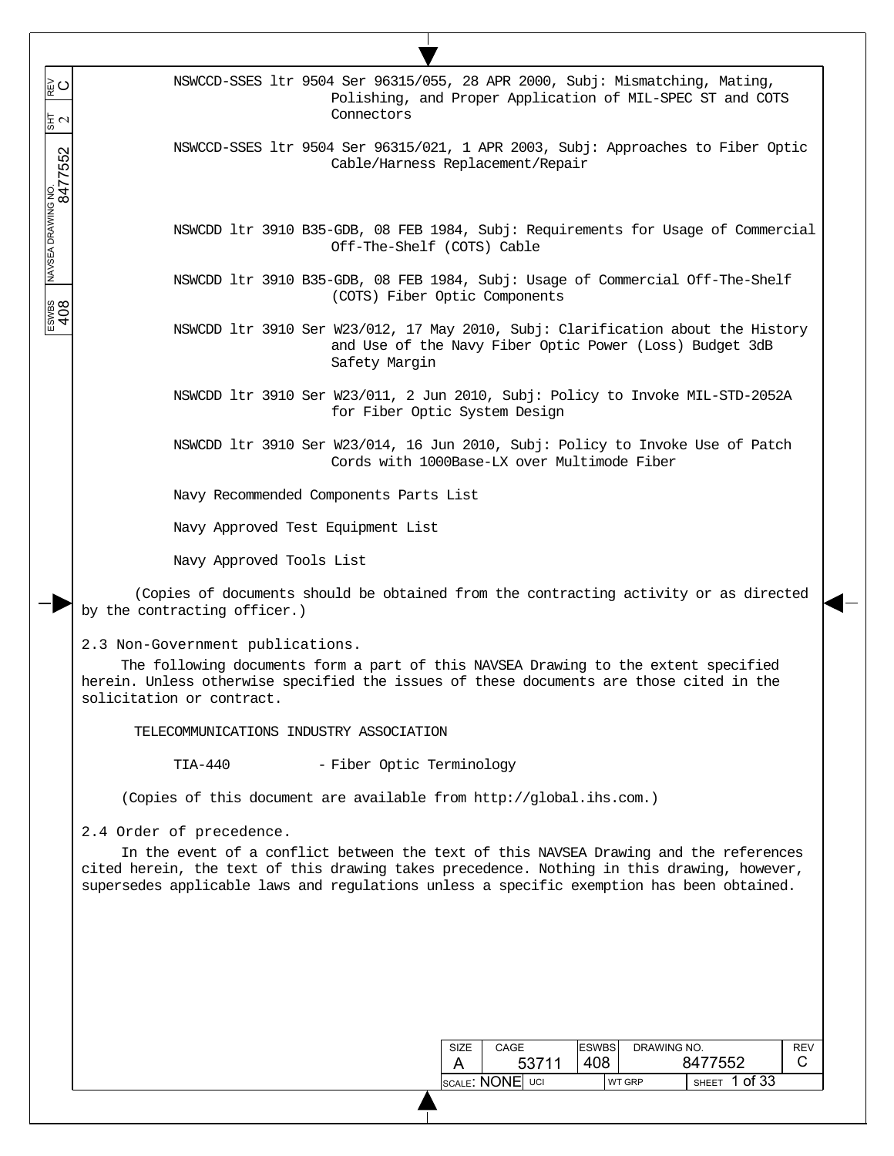SIZE A CAGE 53711 ESWBS 408 DRAWING NO. 8477552 **REV**  C SCALE:  $\textsf{NONE}$  uci WT grp  $\textsf{SHEET}$  1 of 33 NSWCCD-SSES ltr 9504 Ser 96315/055, 28 APR 2000, Subj: Mismatching, Mating, Polishing, and Proper Application of MIL-SPEC ST and COTS Connectors NSWCCD-SSES ltr 9504 Ser 96315/021, 1 APR 2003, Subj: Approaches to Fiber Optic Cable/Harness Replacement/Repair NSWCDD ltr 3910 B35-GDB, 08 FEB 1984, Subj: Requirements for Usage of Commercial Off-The-Shelf (COTS) Cable NSWCDD ltr 3910 B35-GDB, 08 FEB 1984, Subj: Usage of Commercial Off-The-Shelf (COTS) Fiber Optic Components NSWCDD ltr 3910 Ser W23/012, 17 May 2010, Subj: Clarification about the History and Use of the Navy Fiber Optic Power (Loss) Budget 3dB Safety Margin NSWCDD ltr 3910 Ser W23/011, 2 Jun 2010, Subj: Policy to Invoke MIL-STD-2052A for Fiber Optic System Design NSWCDD ltr 3910 Ser W23/014, 16 Jun 2010, Subj: Policy to Invoke Use of Patch Cords with 1000Base-LX over Multimode Fiber Navy Recommended Components Parts List Navy Approved Test Equipment List Navy Approved Tools List (Copies of documents should be obtained from the contracting activity or as directed by the contracting officer.) 2.3 Non-Government publications. The following documents form a part of this NAVSEA Drawing to the extent specified herein. Unless otherwise specified the issues of these documents are those cited in the solicitation or contract. TELECOMMUNICATIONS INDUSTRY ASSOCIATION TIA-440 - Fiber Optic Terminology (Copies of this document are available from http://global.ihs.com.) 2.4 Order of precedence. In the event of a conflict between the text of this NAVSEA Drawing and the references cited herein, the text of this drawing takes precedence. Nothing in this drawing, however, supersedes applicable laws and regulations unless a specific exemption has been obtained.

 $\overline{\phantom{a}}$  $\overline{\phantom{a}}$  $\overline{\phantom{a}}$ 

≩໐

 $\frac{1}{2}$   $\sigma$ 

 $\overline{\phantom{a}}$  $\overline{\phantom{a}}$ 

 $\overline{\phantom{a}}$ 

ESWBS NAVSEA DRAWING NO.  $\frac{1}{817}$  REV 8477552 2

ESWBS<br>408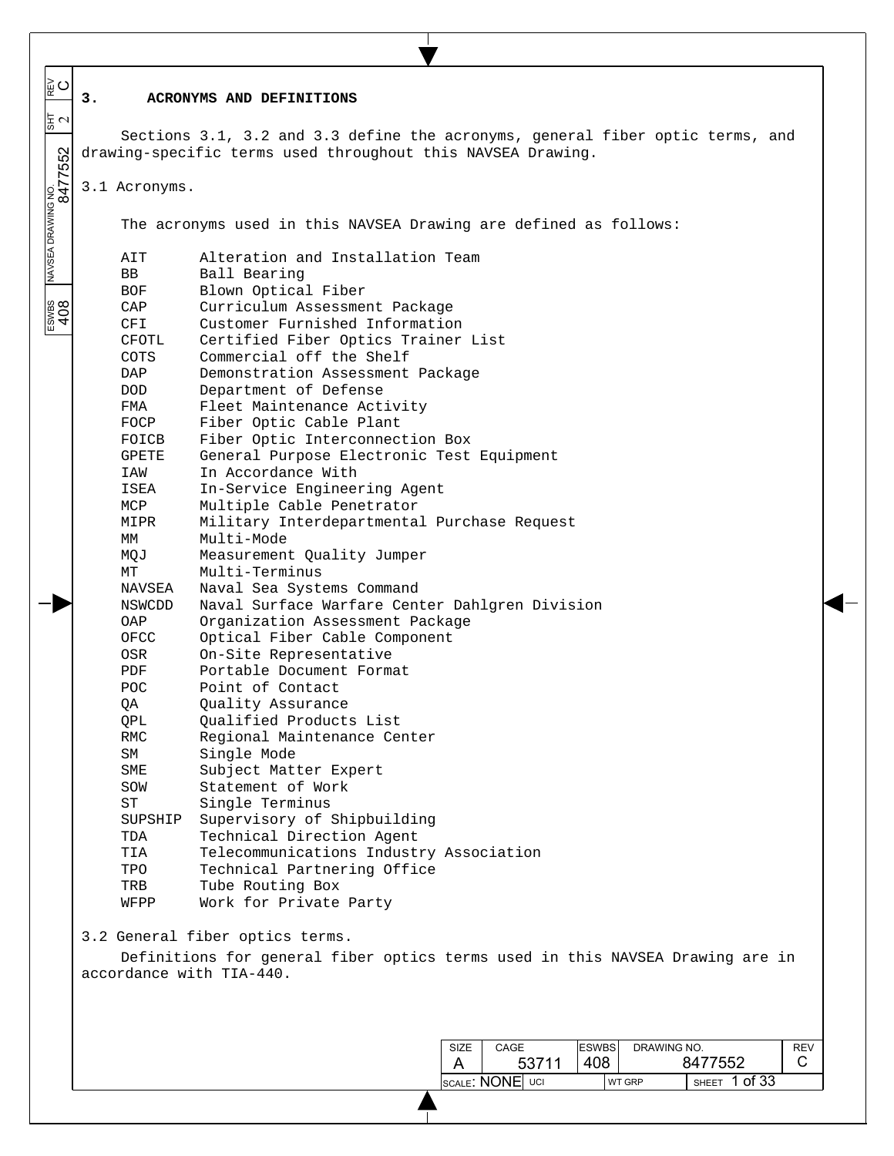| ∥⊵ບ                           |                          |                                                                                                                                              |
|-------------------------------|--------------------------|----------------------------------------------------------------------------------------------------------------------------------------------|
|                               | 3.                       | ACRONYMS AND DEFINITIONS                                                                                                                     |
| $\frac{1}{3}$ $\sim$          |                          |                                                                                                                                              |
|                               |                          | Sections 3.1, 3.2 and 3.3 define the acronyms, general fiber optic terms, and<br>drawing-specific terms used throughout this NAVSEA Drawing. |
|                               |                          |                                                                                                                                              |
|                               | 3.1 Acronyms.            |                                                                                                                                              |
|                               |                          |                                                                                                                                              |
|                               |                          | The acronyms used in this NAVSEA Drawing are defined as follows:                                                                             |
| NAVSEA DRAWING NO.<br>8477552 |                          |                                                                                                                                              |
|                               | AIT                      | Alteration and Installation Team                                                                                                             |
|                               | BB                       | Ball Bearing                                                                                                                                 |
|                               | BOF                      | Blown Optical Fiber                                                                                                                          |
| <b>SODP</b>                   | CAP                      | Curriculum Assessment Package                                                                                                                |
|                               | CFI<br>CFOTL             | Customer Furnished Information<br>Certified Fiber Optics Trainer List                                                                        |
|                               | <b>COTS</b>              | Commercial off the Shelf                                                                                                                     |
|                               | DAP                      | Demonstration Assessment Package                                                                                                             |
|                               | <b>DOD</b>               | Department of Defense                                                                                                                        |
|                               | FMA                      | Fleet Maintenance Activity                                                                                                                   |
|                               | FOCP                     | Fiber Optic Cable Plant                                                                                                                      |
|                               | FOICB                    | Fiber Optic Interconnection Box                                                                                                              |
|                               | GPETE<br>IAW             | General Purpose Electronic Test Equipment<br>In Accordance With                                                                              |
|                               | ISEA                     | In-Service Engineering Agent                                                                                                                 |
|                               | MCP                      | Multiple Cable Penetrator                                                                                                                    |
|                               | MIPR                     | Military Interdepartmental Purchase Request                                                                                                  |
|                               | МM                       | Multi-Mode                                                                                                                                   |
|                               | MQJ                      | Measurement Quality Jumper                                                                                                                   |
|                               | МT                       | Multi-Terminus                                                                                                                               |
|                               | NAVSEA                   | Naval Sea Systems Command                                                                                                                    |
|                               | NSWCDD<br>OAP            | Naval Surface Warfare Center Dahlgren Division<br>Organization Assessment Package                                                            |
|                               | OFCC                     | Optical Fiber Cable Component                                                                                                                |
|                               | OSR                      | On-Site Representative                                                                                                                       |
|                               | PDF                      | Portable Document Format                                                                                                                     |
|                               | <b>POC</b>               | Point of Contact                                                                                                                             |
|                               | QΑ                       | Quality Assurance                                                                                                                            |
|                               | QPL                      | Qualified Products List                                                                                                                      |
|                               | <b>RMC</b><br>SM         | Regional Maintenance Center<br>Single Mode                                                                                                   |
|                               | SME                      | Subject Matter Expert                                                                                                                        |
|                               | SOW                      | Statement of Work                                                                                                                            |
|                               | ST                       | Single Terminus                                                                                                                              |
|                               | SUPSHIP                  | Supervisory of Shipbuilding                                                                                                                  |
|                               | TDA                      | Technical Direction Agent                                                                                                                    |
|                               | TIA                      | Telecommunications Industry Association                                                                                                      |
|                               | TPO                      | Technical Partnering Office                                                                                                                  |
|                               | TRB<br>WFPP              | Tube Routing Box<br>Work for Private Party                                                                                                   |
|                               |                          |                                                                                                                                              |
|                               |                          | 3.2 General fiber optics terms.                                                                                                              |
|                               |                          | Definitions for general fiber optics terms used in this NAVSEA Drawing are in                                                                |
|                               | accordance with TIA-440. |                                                                                                                                              |
|                               |                          |                                                                                                                                              |
|                               |                          |                                                                                                                                              |
|                               |                          |                                                                                                                                              |
|                               |                          | <b>ESWBS</b><br>DRAWING NO.<br>CAGE<br><b>REV</b><br><b>SIZE</b>                                                                             |
|                               |                          | 408<br>8477552<br>C.<br>53711<br>A                                                                                                           |
|                               |                          | SHEET 1 of 33<br>SCALE: NONE UCI<br><b>WT GRP</b>                                                                                            |

 $\mathbf{L}$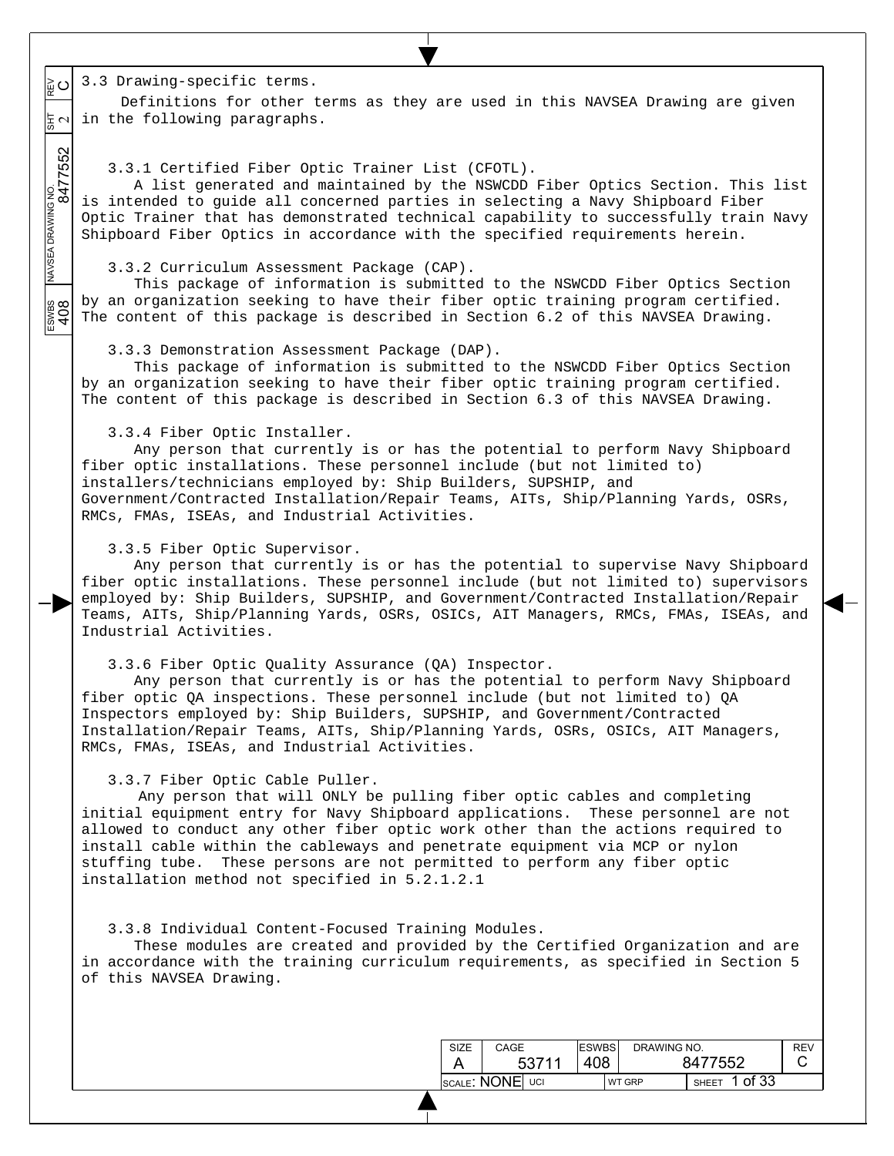$\circ$ 3.3 Drawing-specific terms.

 $\overline{\phantom{a}}$  $\overline{\phantom{a}}$  $\overline{\phantom{a}}$ 

 $\overline{\phantom{a}}$  $\overline{\phantom{a}}$ 

 $\overline{\phantom{a}}$ 

ESWBS NAVSEA DRAWING NO.  $\frac{1}{817}$  REV 8477552 2 Definitions for other terms as they are used in this NAVSEA Drawing are given  $\frac{1}{6}$   $\sim$   $\vert$  in the following paragraphs.

3.3.1 Certified Fiber Optic Trainer List (CFOTL).

A list generated and maintained by the NSWCDD Fiber Optics Section. This list is intended to guide all concerned parties in selecting a Navy Shipboard Fiber Optic Trainer that has demonstrated technical capability to successfully train Navy Shipboard Fiber Optics in accordance with the specified requirements herein.

3.3.2 Curriculum Assessment Package (CAP).

This package of information is submitted to the NSWCDD Fiber Optics Section by an organization seeking to have their fiber optic training program certified. ESWBS<br>408 The content of this package is described in Section 6.2 of this NAVSEA Drawing.

3.3.3 Demonstration Assessment Package (DAP).

This package of information is submitted to the NSWCDD Fiber Optics Section by an organization seeking to have their fiber optic training program certified. The content of this package is described in Section 6.3 of this NAVSEA Drawing.

3.3.4 Fiber Optic Installer.

Any person that currently is or has the potential to perform Navy Shipboard fiber optic installations. These personnel include (but not limited to) installers/technicians employed by: Ship Builders, SUPSHIP, and Government/Contracted Installation/Repair Teams, AITs, Ship/Planning Yards, OSRs, RMCs, FMAs, ISEAs, and Industrial Activities.

3.3.5 Fiber Optic Supervisor.

Any person that currently is or has the potential to supervise Navy Shipboard fiber optic installations. These personnel include (but not limited to) supervisors employed by: Ship Builders, SUPSHIP, and Government/Contracted Installation/Repair Teams, AITs, Ship/Planning Yards, OSRs, OSICs, AIT Managers, RMCs, FMAs, ISEAs, and Industrial Activities.

3.3.6 Fiber Optic Quality Assurance (QA) Inspector.

Any person that currently is or has the potential to perform Navy Shipboard fiber optic QA inspections. These personnel include (but not limited to) QA Inspectors employed by: Ship Builders, SUPSHIP, and Government/Contracted Installation/Repair Teams, AITs, Ship/Planning Yards, OSRs, OSICs, AIT Managers, RMCs, FMAs, ISEAs, and Industrial Activities.

3.3.7 Fiber Optic Cable Puller.

 Any person that will ONLY be pulling fiber optic cables and completing initial equipment entry for Navy Shipboard applications. These personnel are not allowed to conduct any other fiber optic work other than the actions required to install cable within the cableways and penetrate equipment via MCP or nylon stuffing tube. These persons are not permitted to perform any fiber optic installation method not specified in 5.2.1.2.1

3.3.8 Individual Content-Focused Training Modules.

These modules are created and provided by the Certified Organization and are in accordance with the training curriculum requirements, as specified in Section 5 of this NAVSEA Drawing.

| SIZE            | CAGE         | <b>ESWBS</b> | DRAWING NO.   |                         | REV |
|-----------------|--------------|--------------|---------------|-------------------------|-----|
|                 | 408<br>53711 |              |               | 8477552                 |     |
| SCALE: NONE UCI |              |              | <b>WT GRP</b> | 1 of 33<br><b>SHEET</b> |     |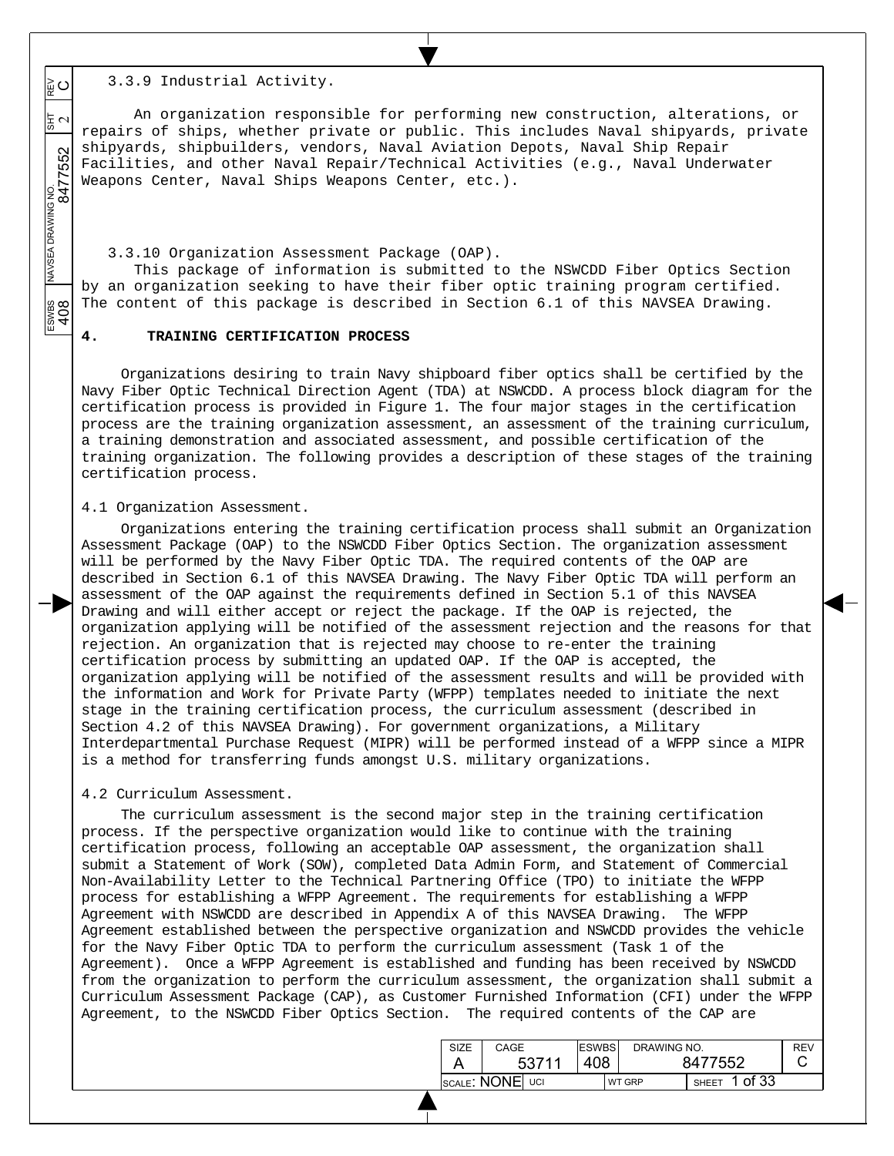3.3.9 Industrial Activity.

 $\overline{\phantom{a}}$  $\overline{\phantom{a}}$  $\overline{\phantom{a}}$ 

 $\circ$ 

 $\overline{\phantom{a}}$  $\overline{\phantom{a}}$ 

ESWBS NAVSEA DRAWING NO.  $\frac{1}{817}$  REV 8477552 2

BOD<br>408

An organization responsible for performing new construction, alterations, or 동지 repairs of ships, whether private or public. This includes Naval shipyards, private shipyards, shipbuilders, vendors, Naval Aviation Depots, Naval Ship Repair 552 Facilities, and other Naval Repair/Technical Activities (e.g., Naval Underwater navsea drawing no.<br>8477 Weapons Center, Naval Ships Weapons Center, etc.).

3.3.10 Organization Assessment Package (OAP).

This package of information is submitted to the NSWCDD Fiber Optics Section by an organization seeking to have their fiber optic training program certified. The content of this package is described in Section 6.1 of this NAVSEA Drawing.

## **4. TRAINING CERTIFICATION PROCESS**

Organizations desiring to train Navy shipboard fiber optics shall be certified by the Navy Fiber Optic Technical Direction Agent (TDA) at NSWCDD. A process block diagram for the certification process is provided in Figure 1. The four major stages in the certification process are the training organization assessment, an assessment of the training curriculum, a training demonstration and associated assessment, and possible certification of the training organization. The following provides a description of these stages of the training certification process.

### 4.1 Organization Assessment.

Organizations entering the training certification process shall submit an Organization Assessment Package (OAP) to the NSWCDD Fiber Optics Section. The organization assessment will be performed by the Navy Fiber Optic TDA. The required contents of the OAP are described in Section 6.1 of this NAVSEA Drawing. The Navy Fiber Optic TDA will perform an assessment of the OAP against the requirements defined in Section 5.1 of this NAVSEA Drawing and will either accept or reject the package. If the OAP is rejected, the organization applying will be notified of the assessment rejection and the reasons for that rejection. An organization that is rejected may choose to re-enter the training certification process by submitting an updated OAP. If the OAP is accepted, the organization applying will be notified of the assessment results and will be provided with the information and Work for Private Party (WFPP) templates needed to initiate the next stage in the training certification process, the curriculum assessment (described in Section 4.2 of this NAVSEA Drawing). For government organizations, a Military Interdepartmental Purchase Request (MIPR) will be performed instead of a WFPP since a MIPR is a method for transferring funds amongst U.S. military organizations.

### 4.2 Curriculum Assessment.

The curriculum assessment is the second major step in the training certification process. If the perspective organization would like to continue with the training certification process, following an acceptable OAP assessment, the organization shall submit a Statement of Work (SOW), completed Data Admin Form, and Statement of Commercial Non-Availability Letter to the Technical Partnering Office (TPO) to initiate the WFPP process for establishing a WFPP Agreement. The requirements for establishing a WFPP Agreement with NSWCDD are described in Appendix A of this NAVSEA Drawing. The WFPP Agreement established between the perspective organization and NSWCDD provides the vehicle for the Navy Fiber Optic TDA to perform the curriculum assessment (Task 1 of the Agreement). Once a WFPP Agreement is established and funding has been received by NSWCDD from the organization to perform the curriculum assessment, the organization shall submit a Curriculum Assessment Package (CAP), as Customer Furnished Information (CFI) under the WFPP Agreement, to the NSWCDD Fiber Optics Section. The required contents of the CAP are

| SIZE | CAGE            | <b>ESWBS</b> |  | DRAWING NO.   |                         | <b>RFV</b> |
|------|-----------------|--------------|--|---------------|-------------------------|------------|
|      | 53711           | 408          |  | 8477552       |                         |            |
|      | SCALE: NONE UCI |              |  | <b>WT GRP</b> | 1 of 33<br><b>SHEET</b> |            |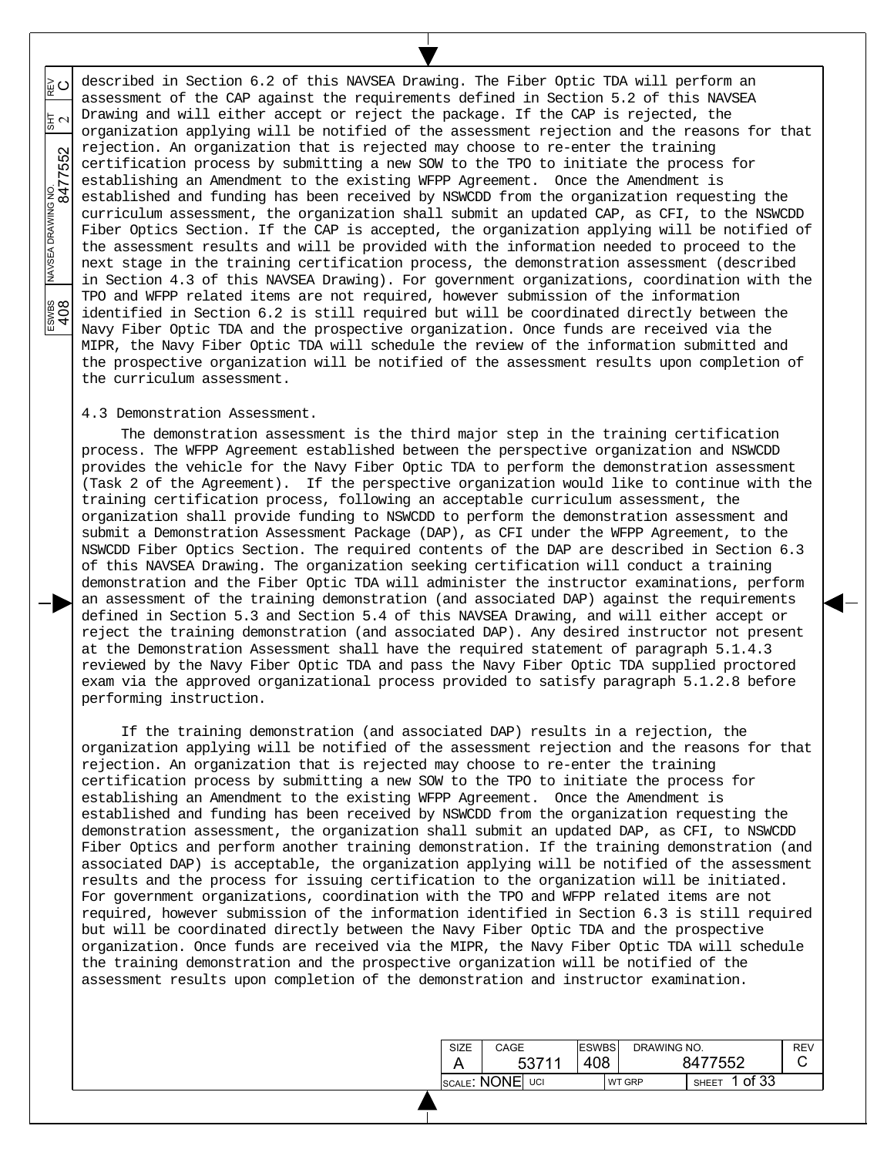described in Section 6.2 of this NAVSEA Drawing. The Fiber Optic TDA will perform an ESWBS NAVSEA DRAWING NO.  $\frac{1}{817}$  REV 8477552 2  $\circ$ assessment of the CAP against the requirements defined in Section 5.2 of this NAVSEA Drawing and will either accept or reject the package. If the CAP is rejected, the 동 ~ organization applying will be notified of the assessment rejection and the reasons for that rejection. An organization that is rejected may choose to re-enter the training certification process by submitting a new SOW to the TPO to initiate the process for establishing an Amendment to the existing WFPP Agreement. Once the Amendment is established and funding has been received by NSWCDD from the organization requesting the curriculum assessment, the organization shall submit an updated CAP, as CFI, to the NSWCDD Fiber Optics Section. If the CAP is accepted, the organization applying will be notified of the assessment results and will be provided with the information needed to proceed to the next stage in the training certification process, the demonstration assessment (described in Section 4.3 of this NAVSEA Drawing). For government organizations, coordination with the TPO and WFPP related items are not required, however submission of the information ESWES<br>408 identified in Section 6.2 is still required but will be coordinated directly between the Navy Fiber Optic TDA and the prospective organization. Once funds are received via the MIPR, the Navy Fiber Optic TDA will schedule the review of the information submitted and the prospective organization will be notified of the assessment results upon completion of the curriculum assessment.

# 4.3 Demonstration Assessment.

 $\overline{\phantom{a}}$  $\overline{\phantom{a}}$  $\overline{\phantom{a}}$ 

 $\overline{\phantom{a}}$  $\overline{\phantom{a}}$ 

 $\overline{\phantom{a}}$ 

The demonstration assessment is the third major step in the training certification process. The WFPP Agreement established between the perspective organization and NSWCDD provides the vehicle for the Navy Fiber Optic TDA to perform the demonstration assessment (Task 2 of the Agreement). If the perspective organization would like to continue with the training certification process, following an acceptable curriculum assessment, the organization shall provide funding to NSWCDD to perform the demonstration assessment and submit a Demonstration Assessment Package (DAP), as CFI under the WFPP Agreement, to the NSWCDD Fiber Optics Section. The required contents of the DAP are described in Section 6.3 of this NAVSEA Drawing. The organization seeking certification will conduct a training demonstration and the Fiber Optic TDA will administer the instructor examinations, perform an assessment of the training demonstration (and associated DAP) against the requirements defined in Section 5.3 and Section 5.4 of this NAVSEA Drawing, and will either accept or reject the training demonstration (and associated DAP). Any desired instructor not present at the Demonstration Assessment shall have the required statement of paragraph 5.1.4.3 reviewed by the Navy Fiber Optic TDA and pass the Navy Fiber Optic TDA supplied proctored exam via the approved organizational process provided to satisfy paragraph 5.1.2.8 before performing instruction.

If the training demonstration (and associated DAP) results in a rejection, the organization applying will be notified of the assessment rejection and the reasons for that rejection. An organization that is rejected may choose to re-enter the training certification process by submitting a new SOW to the TPO to initiate the process for establishing an Amendment to the existing WFPP Agreement. Once the Amendment is established and funding has been received by NSWCDD from the organization requesting the demonstration assessment, the organization shall submit an updated DAP, as CFI, to NSWCDD Fiber Optics and perform another training demonstration. If the training demonstration (and associated DAP) is acceptable, the organization applying will be notified of the assessment results and the process for issuing certification to the organization will be initiated. For government organizations, coordination with the TPO and WFPP related items are not required, however submission of the information identified in Section 6.3 is still required but will be coordinated directly between the Navy Fiber Optic TDA and the prospective organization. Once funds are received via the MIPR, the Navy Fiber Optic TDA will schedule the training demonstration and the prospective organization will be notified of the assessment results upon completion of the demonstration and instructor examination.

| <b>SIZE</b>     | CAGE  | <b>ESWBS</b> | DRAWING NO.   |                         | <b>RFV</b> |
|-----------------|-------|--------------|---------------|-------------------------|------------|
|                 | 53711 | 408          |               | 8477552                 |            |
| SCALE: NONE UCI |       |              | <b>WT GRP</b> | 1 of 33<br><b>SHEET</b> |            |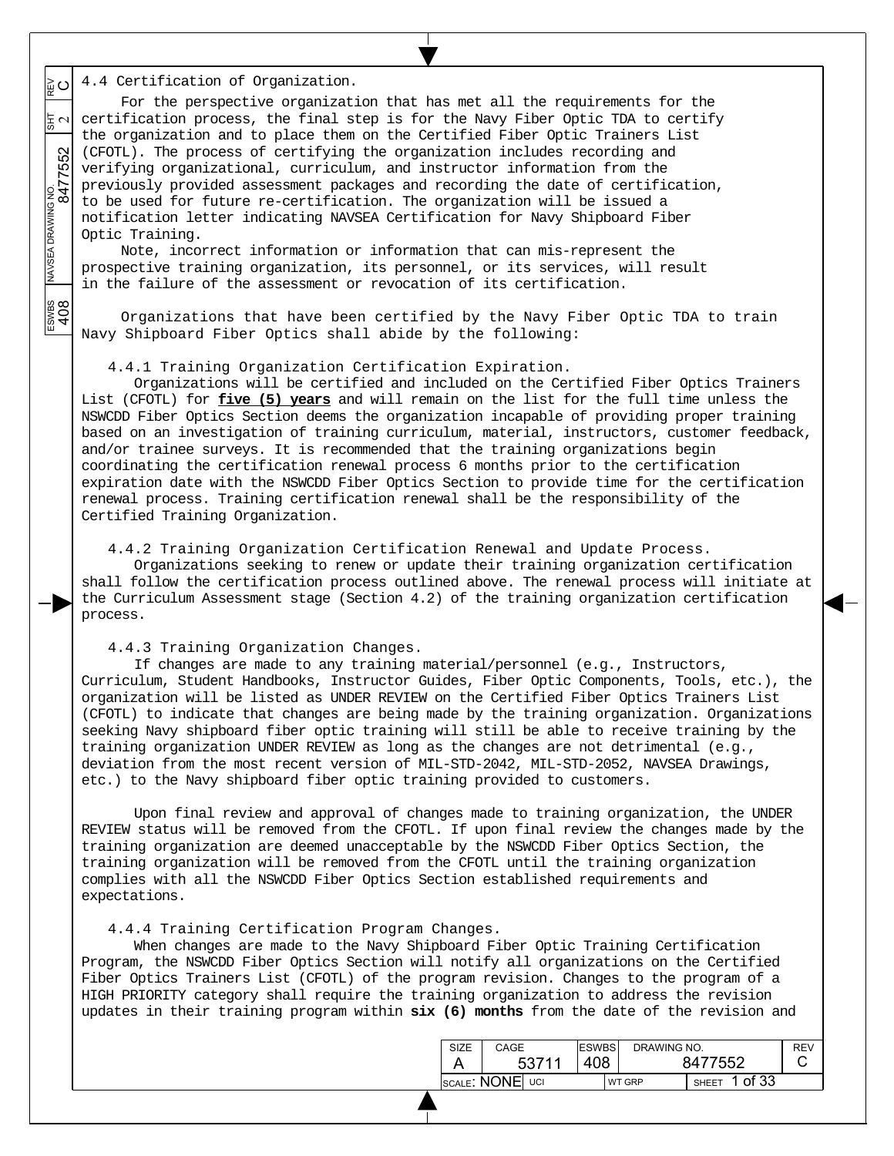$\circ$ 4.4 Certification of Organization.

 $\overline{\phantom{a}}$  $\overline{\phantom{a}}$  $\overline{\phantom{a}}$ 

 $\overline{\phantom{a}}$  $\overline{\phantom{a}}$ 

 $\overline{\phantom{a}}$ 

 $\frac{200}{408}$ 

ESWBS NAVSEA DRAWING NO.  $\frac{1}{817}$  REV 8477552 2 For the perspective organization that has met all the requirements for the  $\frac{1}{b}$   $\sim$  certification process, the final step is for the Navy Fiber Optic TDA to certify the organization and to place them on the Certified Fiber Optic Trainers List (CFOTL). The process of certifying the organization includes recording and verifying organizational, curriculum, and instructor information from the previously provided assessment packages and recording the date of certification, to be used for future re-certification. The organization will be issued a notification letter indicating NAVSEA Certification for Navy Shipboard Fiber Optic Training.

Note, incorrect information or information that can mis-represent the prospective training organization, its personnel, or its services, will result in the failure of the assessment or revocation of its certification.

Organizations that have been certified by the Navy Fiber Optic TDA to train Navy Shipboard Fiber Optics shall abide by the following:

4.4.1 Training Organization Certification Expiration.

Organizations will be certified and included on the Certified Fiber Optics Trainers List (CFOTL) for **five (5) years** and will remain on the list for the full time unless the NSWCDD Fiber Optics Section deems the organization incapable of providing proper training based on an investigation of training curriculum, material, instructors, customer feedback, and/or trainee surveys. It is recommended that the training organizations begin coordinating the certification renewal process 6 months prior to the certification expiration date with the NSWCDD Fiber Optics Section to provide time for the certification renewal process. Training certification renewal shall be the responsibility of the Certified Training Organization.

4.4.2 Training Organization Certification Renewal and Update Process.

Organizations seeking to renew or update their training organization certification shall follow the certification process outlined above. The renewal process will initiate at the Curriculum Assessment stage (Section 4.2) of the training organization certification process.

4.4.3 Training Organization Changes.

If changes are made to any training material/personnel (e.g., Instructors, Curriculum, Student Handbooks, Instructor Guides, Fiber Optic Components, Tools, etc.), the organization will be listed as UNDER REVIEW on the Certified Fiber Optics Trainers List (CFOTL) to indicate that changes are being made by the training organization. Organizations seeking Navy shipboard fiber optic training will still be able to receive training by the training organization UNDER REVIEW as long as the changes are not detrimental (e.g., deviation from the most recent version of MIL-STD-2042, MIL-STD-2052, NAVSEA Drawings, etc.) to the Navy shipboard fiber optic training provided to customers.

Upon final review and approval of changes made to training organization, the UNDER REVIEW status will be removed from the CFOTL. If upon final review the changes made by the training organization are deemed unacceptable by the NSWCDD Fiber Optics Section, the training organization will be removed from the CFOTL until the training organization complies with all the NSWCDD Fiber Optics Section established requirements and expectations.

4.4.4 Training Certification Program Changes.

When changes are made to the Navy Shipboard Fiber Optic Training Certification Program, the NSWCDD Fiber Optics Section will notify all organizations on the Certified Fiber Optics Trainers List (CFOTL) of the program revision. Changes to the program of a HIGH PRIORITY category shall require the training organization to address the revision updates in their training program within **six (6) months** from the date of the revision and

| <b>SIZE</b>     | CAGE |       | <b>ESWBS</b>  | DRAWING NO.  |         |  | <b>REV</b> |
|-----------------|------|-------|---------------|--------------|---------|--|------------|
|                 |      | 53711 | 408           |              | 8477552 |  |            |
| SCALE: NONE UCI |      |       | <b>WT GRP</b> | <b>SHEET</b> | 1 of 33 |  |            |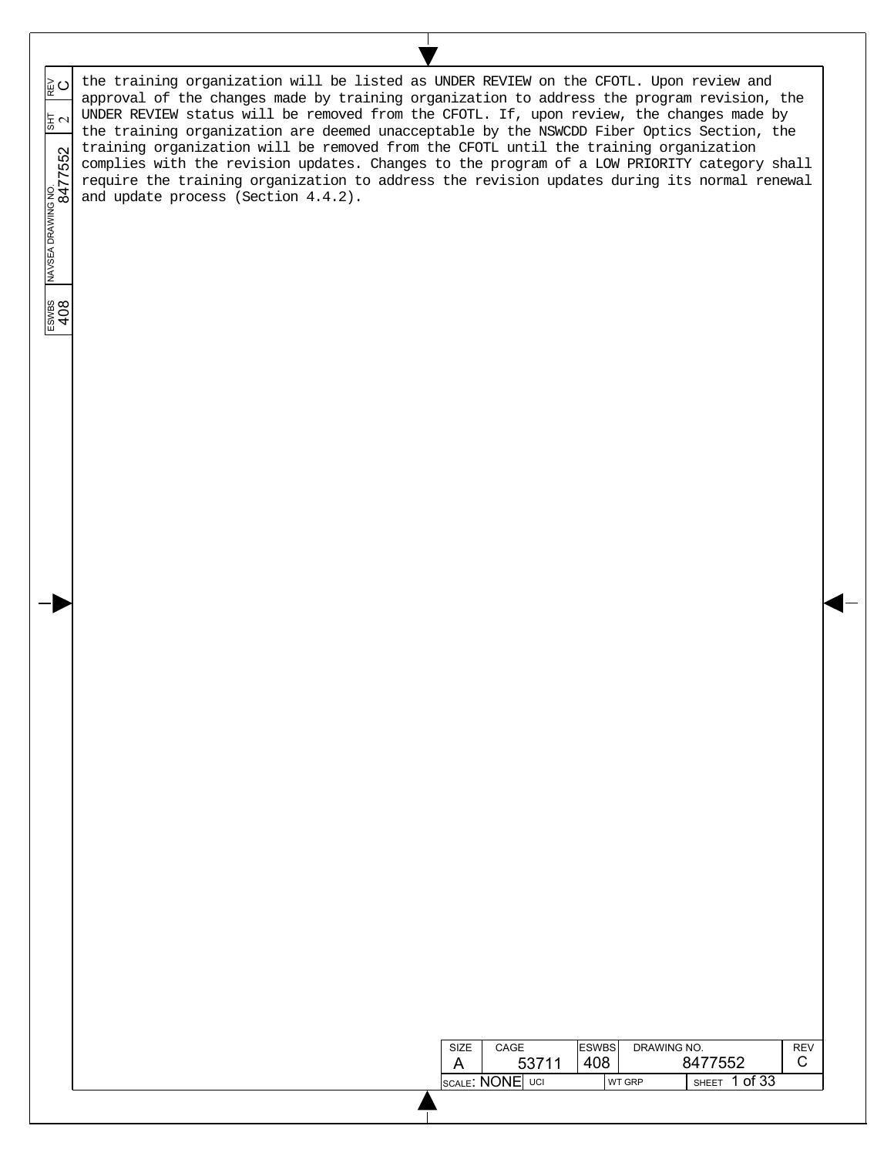the training organization will be listed as UNDER REVIEW on the CFOTL. Upon review and ESWBS NAVSEA DRAWING NO.  $\frac{1}{817}$  REV 8477552 2  $\circ$ approval of the changes made by training organization to address the program revision, the UNDER REVIEW status will be removed from the CFOTL. If, upon review, the changes made by 동 ~ the training organization are deemed unacceptable by the NSWCDD Fiber Optics Section, the training organization will be removed from the CFOTL until the training organization complies with the revision updates. Changes to the program of a LOW PRIORITY category shall require the training organization to address the revision updates during its normal renewal and update process (Section 4.4.2).

> SIZE A

CAGE

53711

**ESWBS** 408

SCALE: NONE UCI WT GRP SHEET 1 of 33

DRAWING NO.

8477552

REV C

 $\overline{\phantom{a}}$  $\overline{\phantom{a}}$  $\overline{\phantom{a}}$ 

 $\overline{\phantom{a}}$  $\overline{\phantom{a}}$ 

 $\overline{\phantom{a}}$ 

ESWBS<br>408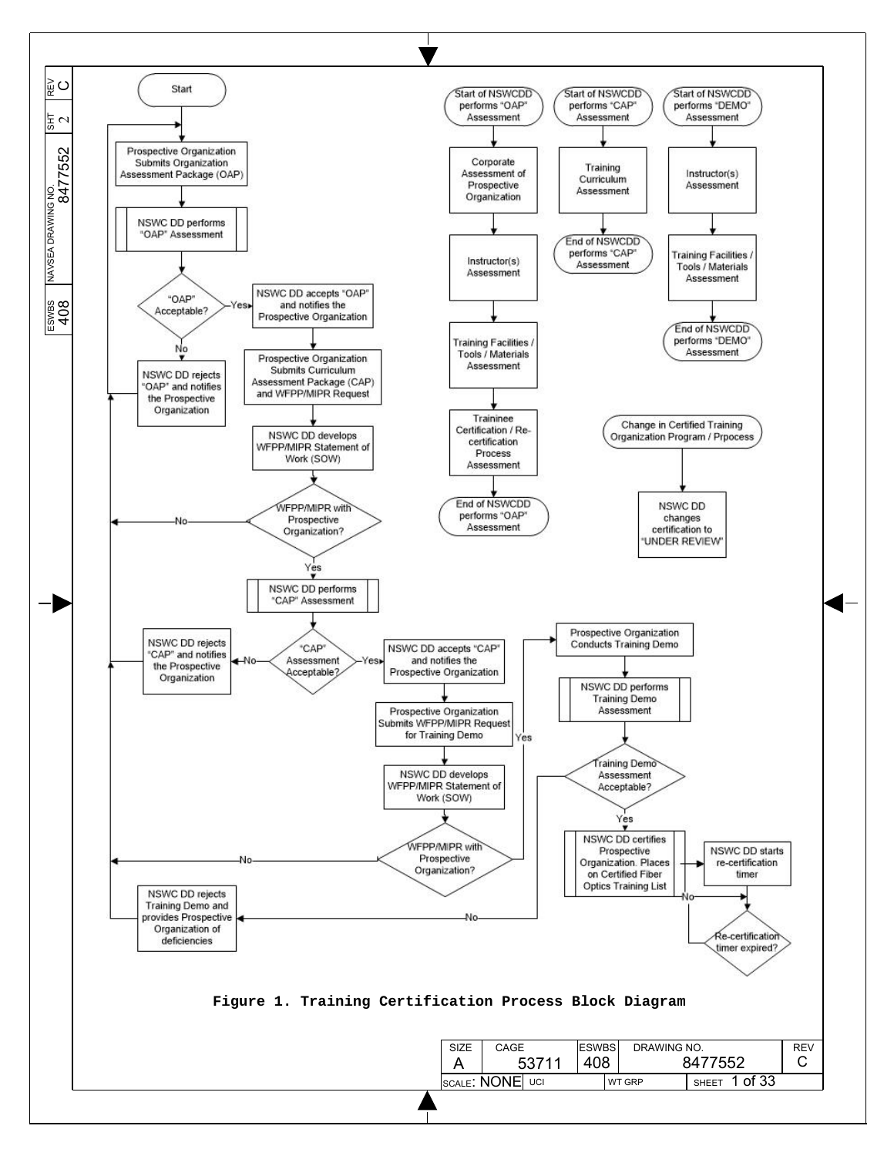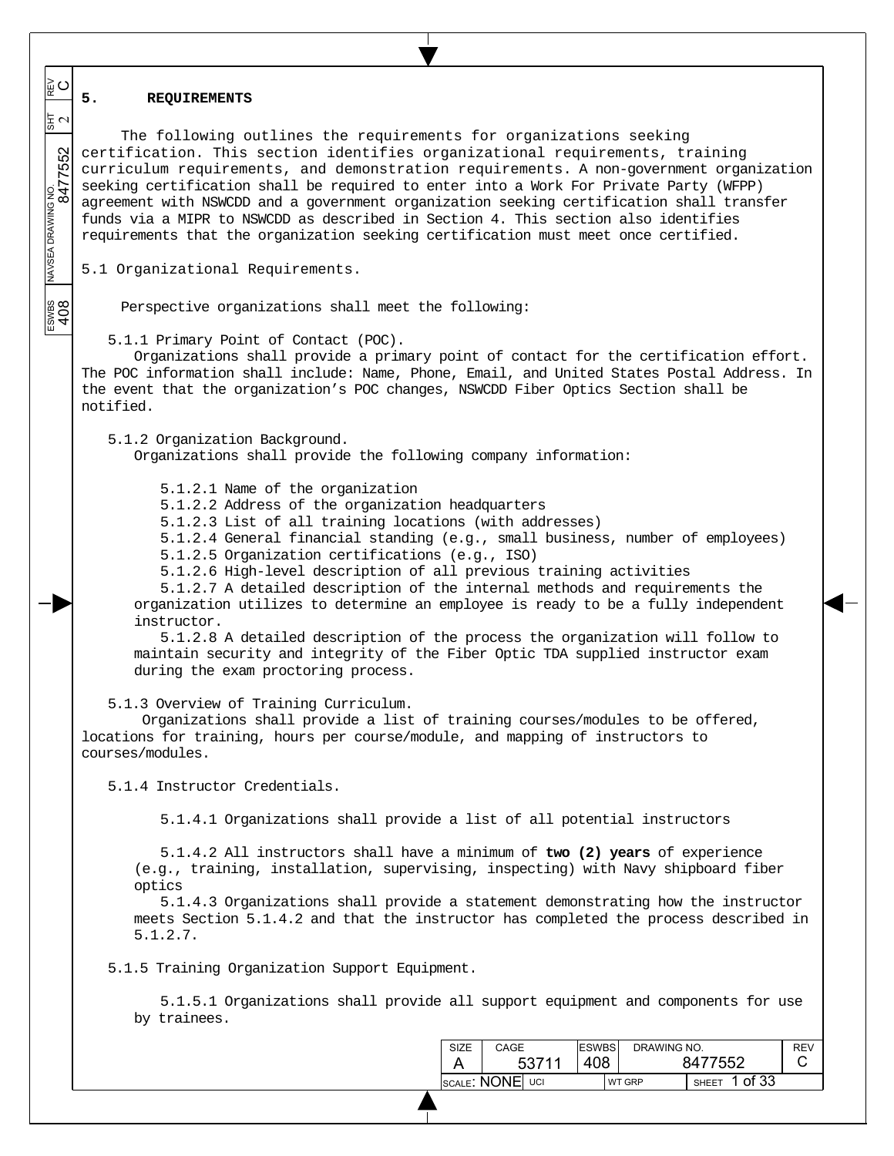### **5. REQUIREMENTS**

 $\overline{\phantom{a}}$  $\overline{\phantom{a}}$  $\overline{\phantom{a}}$ 

≩໐

동지

 $\overline{\phantom{a}}$  $\overline{\phantom{a}}$ 

 $\overline{\phantom{a}}$ 

ESWBS<br>408

ESWBS NAVSEA DRAWING NO.  $\frac{1}{817}$  REV 8477552 2 The following outlines the requirements for organizations seeking certification. This section identifies organizational requirements, training curriculum requirements, and demonstration requirements. A non-government organization seeking certification shall be required to enter into a Work For Private Party (WFPP) agreement with NSWCDD and a government organization seeking certification shall transfer funds via a MIPR to NSWCDD as described in Section 4. This section also identifies requirements that the organization seeking certification must meet once certified.

5.1 Organizational Requirements.

Perspective organizations shall meet the following:

5.1.1 Primary Point of Contact (POC).

Organizations shall provide a primary point of contact for the certification effort. The POC information shall include: Name, Phone, Email, and United States Postal Address. In the event that the organization's POC changes, NSWCDD Fiber Optics Section shall be notified.

5.1.2 Organization Background.

Organizations shall provide the following company information:

5.1.2.1 Name of the organization

5.1.2.2 Address of the organization headquarters

5.1.2.3 List of all training locations (with addresses)

5.1.2.4 General financial standing (e.g., small business, number of employees)

5.1.2.5 Organization certifications (e.g., ISO)

5.1.2.6 High-level description of all previous training activities

5.1.2.7 A detailed description of the internal methods and requirements the organization utilizes to determine an employee is ready to be a fully independent instructor.

5.1.2.8 A detailed description of the process the organization will follow to maintain security and integrity of the Fiber Optic TDA supplied instructor exam during the exam proctoring process.

5.1.3 Overview of Training Curriculum.

 Organizations shall provide a list of training courses/modules to be offered, locations for training, hours per course/module, and mapping of instructors to courses/modules.

5.1.4 Instructor Credentials.

5.1.4.1 Organizations shall provide a list of all potential instructors

5.1.4.2 All instructors shall have a minimum of **two (2) years** of experience (e.g., training, installation, supervising, inspecting) with Navy shipboard fiber optics

5.1.4.3 Organizations shall provide a statement demonstrating how the instructor meets Section 5.1.4.2 and that the instructor has completed the process described in 5.1.2.7.

5.1.5 Training Organization Support Equipment.

5.1.5.1 Organizations shall provide all support equipment and components for use by trainees.

| SIZE            | CAGE  | <b>ESWBS</b> | DRAWING NO.   |               | <b>RFV</b> |
|-----------------|-------|--------------|---------------|---------------|------------|
|                 | 53711 | 408.         |               | 8477552       |            |
| SCALE: NONE UCI |       |              | <b>WT GRP</b> | SHEET 1 of 33 |            |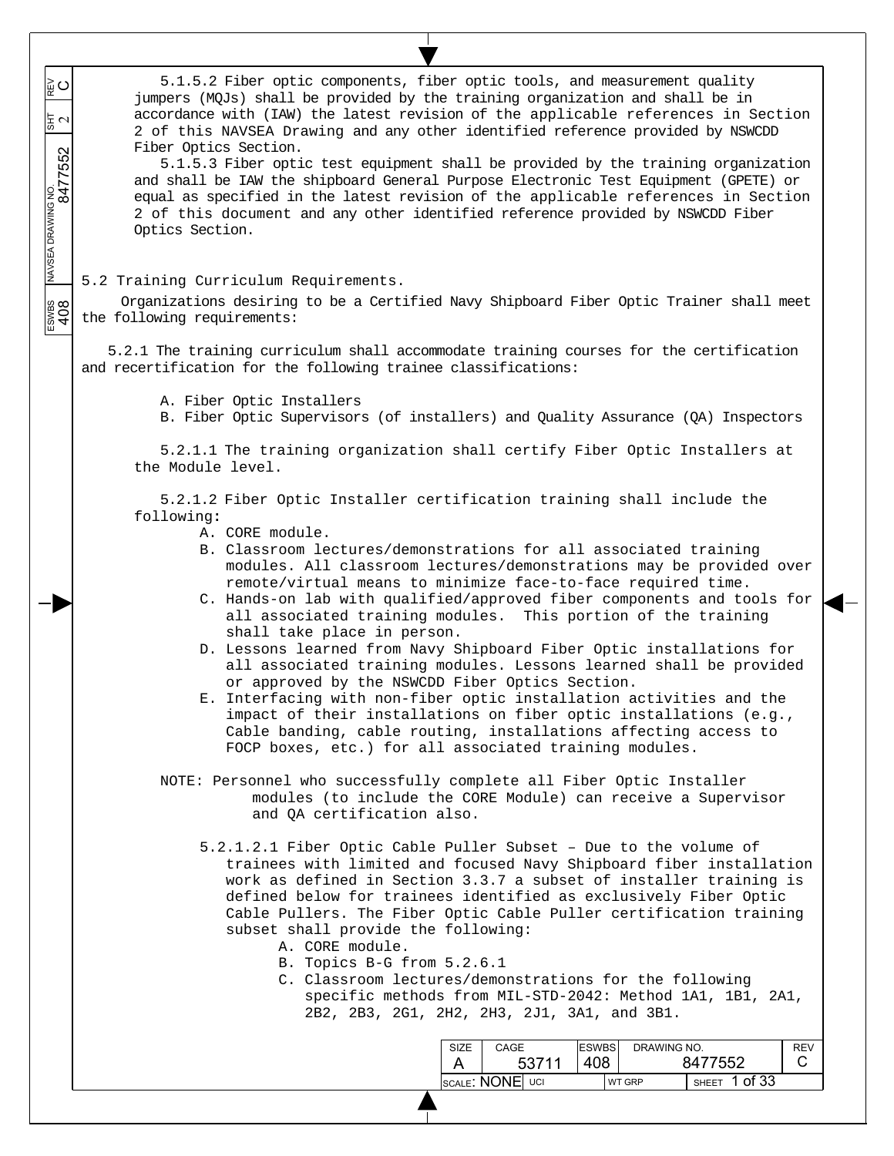| ∣≩ ບ<br>$\frac{1}{5}$ $\sim$<br>MAVSEA DRAWING NO.<br>8477552 | 5.1.5.2 Fiber optic components, fiber optic tools, and measurement quality<br>jumpers (MQJs) shall be provided by the training organization and shall be in<br>accordance with (IAW) the latest revision of the applicable references in Section<br>2 of this NAVSEA Drawing and any other identified reference provided by NSWCDD<br>Fiber Optics Section.<br>5.1.5.3 Fiber optic test equipment shall be provided by the training organization<br>and shall be IAW the shipboard General Purpose Electronic Test Equipment (GPETE) or<br>equal as specified in the latest revision of the applicable references in Section<br>2 of this document and any other identified reference provided by NSWCDD Fiber<br>Optics Section.                                                                                                                                                                                                                                         |
|---------------------------------------------------------------|---------------------------------------------------------------------------------------------------------------------------------------------------------------------------------------------------------------------------------------------------------------------------------------------------------------------------------------------------------------------------------------------------------------------------------------------------------------------------------------------------------------------------------------------------------------------------------------------------------------------------------------------------------------------------------------------------------------------------------------------------------------------------------------------------------------------------------------------------------------------------------------------------------------------------------------------------------------------------|
|                                                               | 5.2 Training Curriculum Requirements.                                                                                                                                                                                                                                                                                                                                                                                                                                                                                                                                                                                                                                                                                                                                                                                                                                                                                                                                     |
|                                                               | Organizations desiring to be a Certified Navy Shipboard Fiber Optic Trainer shall meet<br>the following requirements:                                                                                                                                                                                                                                                                                                                                                                                                                                                                                                                                                                                                                                                                                                                                                                                                                                                     |
|                                                               | 5.2.1 The training curriculum shall accommodate training courses for the certification<br>and recertification for the following trainee classifications:                                                                                                                                                                                                                                                                                                                                                                                                                                                                                                                                                                                                                                                                                                                                                                                                                  |
|                                                               | A. Fiber Optic Installers<br>B. Fiber Optic Supervisors (of installers) and Quality Assurance (QA) Inspectors                                                                                                                                                                                                                                                                                                                                                                                                                                                                                                                                                                                                                                                                                                                                                                                                                                                             |
|                                                               | 5.2.1.1 The training organization shall certify Fiber Optic Installers at<br>the Module level.                                                                                                                                                                                                                                                                                                                                                                                                                                                                                                                                                                                                                                                                                                                                                                                                                                                                            |
|                                                               | 5.2.1.2 Fiber Optic Installer certification training shall include the<br>following:<br>A. CORE module.<br>B. Classroom lectures/demonstrations for all associated training<br>modules. All classroom lectures/demonstrations may be provided over<br>remote/virtual means to minimize face-to-face required time.<br>C. Hands-on lab with qualified/approved fiber components and tools for<br>all associated training modules.<br>This portion of the training<br>shall take place in person.<br>D. Lessons learned from Navy Shipboard Fiber Optic installations for<br>all associated training modules. Lessons learned shall be provided<br>or approved by the NSWCDD Fiber Optics Section.<br>E. Interfacing with non-fiber optic installation activities and the<br>impact of their installations on fiber optic installations (e.g.,<br>Cable banding, cable routing, installations affecting access to<br>FOCP boxes, etc.) for all associated training modules. |
|                                                               | NOTE: Personnel who successfully complete all Fiber Optic Installer<br>modules (to include the CORE Module) can receive a Supervisor<br>and QA certification also.                                                                                                                                                                                                                                                                                                                                                                                                                                                                                                                                                                                                                                                                                                                                                                                                        |
|                                                               | 5.2.1.2.1 Fiber Optic Cable Puller Subset - Due to the volume of<br>trainees with limited and focused Navy Shipboard fiber installation<br>work as defined in Section 3.3.7 a subset of installer training is<br>defined below for trainees identified as exclusively Fiber Optic<br>Cable Pullers. The Fiber Optic Cable Puller certification training<br>subset shall provide the following:<br>A. CORE module.<br>B. Topics B-G from 5.2.6.1<br>C. Classroom lectures/demonstrations for the following<br>specific methods from MIL-STD-2042: Method 1A1, 1B1, 2A1,<br>2B2, 2B3, 2G1, 2H2, 2H3, 2J1, 3A1, and 3B1.                                                                                                                                                                                                                                                                                                                                                     |
|                                                               | <b>ESWBS</b><br>DRAWING NO.<br><b>REV</b><br>SIZE<br>CAGE<br>408<br>8477552<br>C<br>53711<br>A                                                                                                                                                                                                                                                                                                                                                                                                                                                                                                                                                                                                                                                                                                                                                                                                                                                                            |
|                                                               | SCALE: NONE UCI<br>SHEET 1 of 33<br>WT GRP                                                                                                                                                                                                                                                                                                                                                                                                                                                                                                                                                                                                                                                                                                                                                                                                                                                                                                                                |
|                                                               |                                                                                                                                                                                                                                                                                                                                                                                                                                                                                                                                                                                                                                                                                                                                                                                                                                                                                                                                                                           |

 $\top$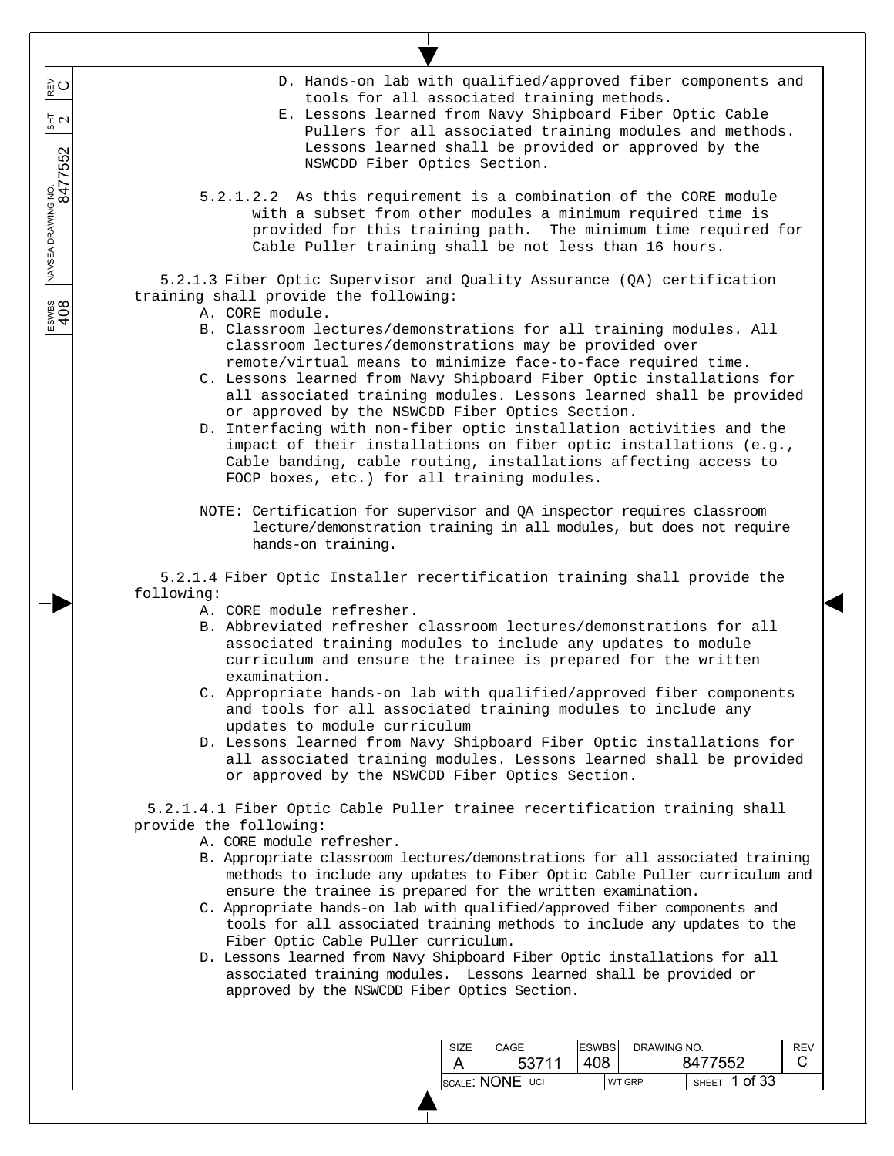- D. Hands-on lab with qualified/approved fiber components and tools for all associated training methods.
- E. Lessons learned from Navy Shipboard Fiber Optic Cable Pullers for all associated training modules and methods. Lessons learned shall be provided or approved by the NSWCDD Fiber Optics Section.
- 5.2.1.2.2 As this requirement is a combination of the CORE module with a subset from other modules a minimum required time is provided for this training path. The minimum time required for Cable Puller training shall be not less than 16 hours.

5.2.1.3 Fiber Optic Supervisor and Quality Assurance (QA) certification training shall provide the following:

A. CORE module.

 $\overline{\phantom{a}}$  $\overline{\phantom{a}}$  $\overline{\phantom{a}}$ 

≩໐

 $\frac{2}{3}$ 

 $\overline{\phantom{a}}$  $\overline{\phantom{a}}$ 

 $\overline{\phantom{a}}$ 

ESWBS NAVSEA DRAWING NO.  $\frac{1}{817}$  REV 8477552 2

ESWBS<br>408

- B. Classroom lectures/demonstrations for all training modules. All classroom lectures/demonstrations may be provided over remote/virtual means to minimize face-to-face required time.
- C. Lessons learned from Navy Shipboard Fiber Optic installations for all associated training modules. Lessons learned shall be provided or approved by the NSWCDD Fiber Optics Section.
- D. Interfacing with non-fiber optic installation activities and the impact of their installations on fiber optic installations (e.g., Cable banding, cable routing, installations affecting access to FOCP boxes, etc.) for all training modules.
- NOTE: Certification for supervisor and QA inspector requires classroom lecture/demonstration training in all modules, but does not require hands-on training.

5.2.1.4 Fiber Optic Installer recertification training shall provide the following:

- A. CORE module refresher.
- B. Abbreviated refresher classroom lectures/demonstrations for all associated training modules to include any updates to module curriculum and ensure the trainee is prepared for the written examination.
- C. Appropriate hands-on lab with qualified/approved fiber components and tools for all associated training modules to include any updates to module curriculum
- D. Lessons learned from Navy Shipboard Fiber Optic installations for all associated training modules. Lessons learned shall be provided or approved by the NSWCDD Fiber Optics Section.

5.2.1.4.1 Fiber Optic Cable Puller trainee recertification training shall provide the following:

A. CORE module refresher.

- B. Appropriate classroom lectures/demonstrations for all associated training methods to include any updates to Fiber Optic Cable Puller curriculum and ensure the trainee is prepared for the written examination.
- C. Appropriate hands-on lab with qualified/approved fiber components and tools for all associated training methods to include any updates to the Fiber Optic Cable Puller curriculum.
- D. Lessons learned from Navy Shipboard Fiber Optic installations for all associated training modules. Lessons learned shall be provided or approved by the NSWCDD Fiber Optics Section.

| SIZE            | CAGE  | <b>ESWBS</b> |               | DRAWING NO.           |  |
|-----------------|-------|--------------|---------------|-----------------------|--|
|                 | 53711 | 408          |               | 8477552               |  |
| SCALE: NONE UCI |       |              | <b>WT GRP</b> | of 33<br><b>SHEET</b> |  |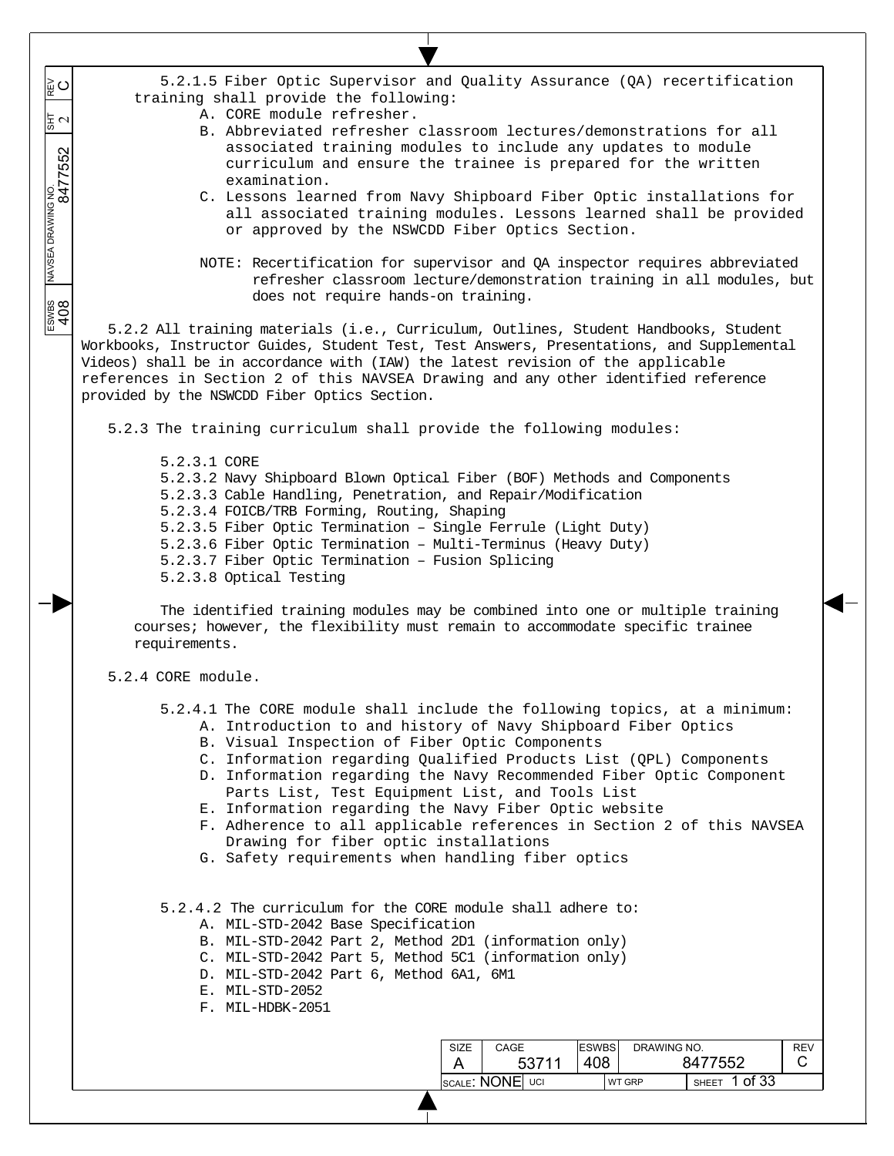5.2.1.5 Fiber Optic Supervisor and Quality Assurance (QA) recertification training shall provide the following:

- A. CORE module refresher.
- B. Abbreviated refresher classroom lectures/demonstrations for all associated training modules to include any updates to module curriculum and ensure the trainee is prepared for the written examination.
- C. Lessons learned from Navy Shipboard Fiber Optic installations for all associated training modules. Lessons learned shall be provided or approved by the NSWCDD Fiber Optics Section.
- NOTE: Recertification for supervisor and QA inspector requires abbreviated refresher classroom lecture/demonstration training in all modules, but does not require hands-on training.

5.2.2 All training materials (i.e., Curriculum, Outlines, Student Handbooks, Student Workbooks, Instructor Guides, Student Test, Test Answers, Presentations, and Supplemental Videos) shall be in accordance with (IAW) the latest revision of the applicable references in Section 2 of this NAVSEA Drawing and any other identified reference provided by the NSWCDD Fiber Optics Section.

5.2.3 The training curriculum shall provide the following modules:

5.2.3.1 CORE 5.2.3.2 Navy Shipboard Blown Optical Fiber (BOF) Methods and Components 5.2.3.3 Cable Handling, Penetration, and Repair/Modification 5.2.3.4 FOICB/TRB Forming, Routing, Shaping 5.2.3.5 Fiber Optic Termination – Single Ferrule (Light Duty) 5.2.3.6 Fiber Optic Termination – Multi-Terminus (Heavy Duty) 5.2.3.7 Fiber Optic Termination – Fusion Splicing 5.2.3.8 Optical Testing

The identified training modules may be combined into one or multiple training courses; however, the flexibility must remain to accommodate specific trainee requirements.

5.2.4 CORE module.

 $\overline{\phantom{a}}$  $\overline{\phantom{a}}$  $\overline{\phantom{a}}$ 

 $\circ$ 

 $\frac{2}{3}$   $\sigma$ 

 $\overline{\phantom{a}}$  $\overline{\phantom{a}}$ 

 $\overline{\phantom{a}}$ 

ESWBS NAVSEA DRAWING NO.  $\frac{1}{817}$  REV 8477552 2

 $\frac{200000}{408}$ 

- 5.2.4.1 The CORE module shall include the following topics, at a minimum:
	- A. Introduction to and history of Navy Shipboard Fiber Optics
	- B. Visual Inspection of Fiber Optic Components
	- C. Information regarding Qualified Products List (QPL) Components
	- D. Information regarding the Navy Recommended Fiber Optic Component Parts List, Test Equipment List, and Tools List
	- E. Information regarding the Navy Fiber Optic website
	- F. Adherence to all applicable references in Section 2 of this NAVSEA Drawing for fiber optic installations
	- G. Safety requirements when handling fiber optics

5.2.4.2 The curriculum for the CORE module shall adhere to:

- A. MIL-STD-2042 Base Specification
- B. MIL-STD-2042 Part 2, Method 2D1 (information only)
- C. MIL-STD-2042 Part 5, Method 5C1 (information only)
- D. MIL-STD-2042 Part 6, Method 6A1, 6M1
- E. MIL-STD-2052
- F. MIL-HDBK-2051

| SIZE | CAGE            | <b>ESWBS</b> | DRAWING NO.   |       |         | REV |
|------|-----------------|--------------|---------------|-------|---------|-----|
|      | 53711           | 408          | 8477552       |       |         |     |
|      | SCALE: NONE UCI |              | <b>WT GRP</b> | SHEET | 1 of 33 |     |
|      |                 |              |               |       |         |     |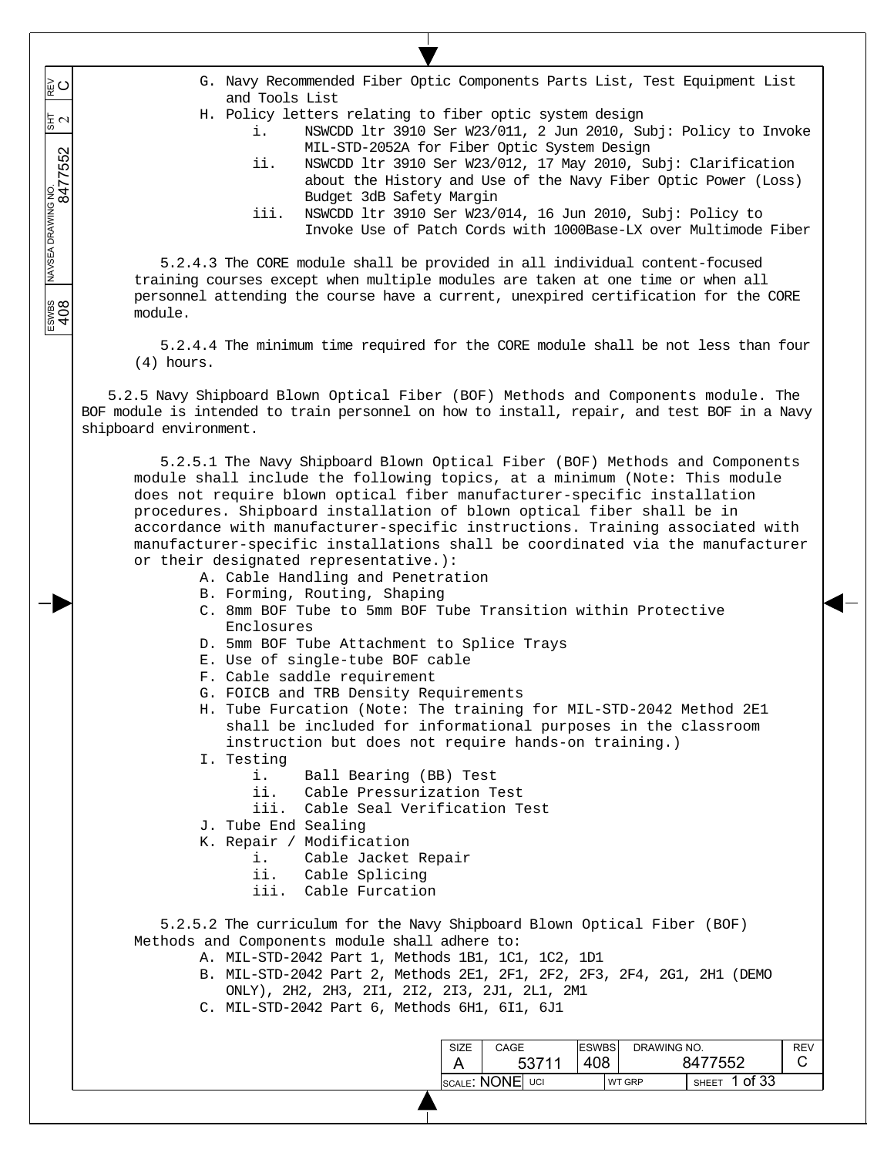ESWBS NAVSEA DRAWING NO.  $\frac{1}{817}$  REV 8477552 2  $\overline{\phantom{a}}$  $\overline{\phantom{a}}$  $\overline{\phantom{a}}$  $\overline{\phantom{a}}$  $\overline{\phantom{a}}$ ESWBS<br>408

 $\overline{\phantom{a}}$ 

≌⊂

- G. Navy Recommended Fiber Optic Components Parts List, Test Equipment List and Tools List
- H. Policy letters relating to fiber optic system design
	- i. NSWCDD ltr 3910 Ser W23/011, 2 Jun 2010, Subj: Policy to Invoke MIL-STD-2052A for Fiber Optic System Design
	- ii. NSWCDD ltr 3910 Ser W23/012, 17 May 2010, Subj: Clarification about the History and Use of the Navy Fiber Optic Power (Loss) Budget 3dB Safety Margin
	- iii. NSWCDD ltr 3910 Ser W23/014, 16 Jun 2010, Subj: Policy to Invoke Use of Patch Cords with 1000Base-LX over Multimode Fiber

5.2.4.3 The CORE module shall be provided in all individual content-focused training courses except when multiple modules are taken at one time or when all personnel attending the course have a current, unexpired certification for the CORE module.

5.2.4.4 The minimum time required for the CORE module shall be not less than four (4) hours.

5.2.5 Navy Shipboard Blown Optical Fiber (BOF) Methods and Components module. The BOF module is intended to train personnel on how to install, repair, and test BOF in a Navy shipboard environment.

5.2.5.1 The Navy Shipboard Blown Optical Fiber (BOF) Methods and Components module shall include the following topics, at a minimum (Note: This module does not require blown optical fiber manufacturer-specific installation procedures. Shipboard installation of blown optical fiber shall be in accordance with manufacturer-specific instructions. Training associated with manufacturer-specific installations shall be coordinated via the manufacturer or their designated representative.):

- A. Cable Handling and Penetration
- B. Forming, Routing, Shaping
- C. 8mm BOF Tube to 5mm BOF Tube Transition within Protective Enclosures
- D. 5mm BOF Tube Attachment to Splice Trays
- E. Use of single-tube BOF cable
- F. Cable saddle requirement
- G. FOICB and TRB Density Requirements
- H. Tube Furcation (Note: The training for MIL-STD-2042 Method 2E1 shall be included for informational purposes in the classroom instruction but does not require hands-on training.)
- I. Testing
	- i. Ball Bearing (BB) Test
	- ii. Cable Pressurization Test
	- iii. Cable Seal Verification Test
- J. Tube End Sealing
- K. Repair / Modification
	- i. Cable Jacket Repair
	- ii. Cable Splicing
	- iii. Cable Furcation

5.2.5.2 The curriculum for the Navy Shipboard Blown Optical Fiber (BOF) Methods and Components module shall adhere to:

- A. MIL-STD-2042 Part 1, Methods 1B1, 1C1, 1C2, 1D1
	- B. MIL-STD-2042 Part 2, Methods 2E1, 2F1, 2F2, 2F3, 2F4, 2G1, 2H1 (DEMO ONLY), 2H2, 2H3, 2I1, 2I2, 2I3, 2J1, 2L1, 2M1
	- C. MIL-STD-2042 Part 6, Methods 6H1, 6I1, 6J1

| <b>SIZE</b> | CAGE            | <b>ESWBS</b> | DRAWING NO.   |                         | <b>REV</b> |
|-------------|-----------------|--------------|---------------|-------------------------|------------|
|             | 53711           | 408          | 8477552       |                         |            |
|             | SCALE: NONE UCI |              | <b>WT GRP</b> | 1 of 33<br><b>SHEET</b> |            |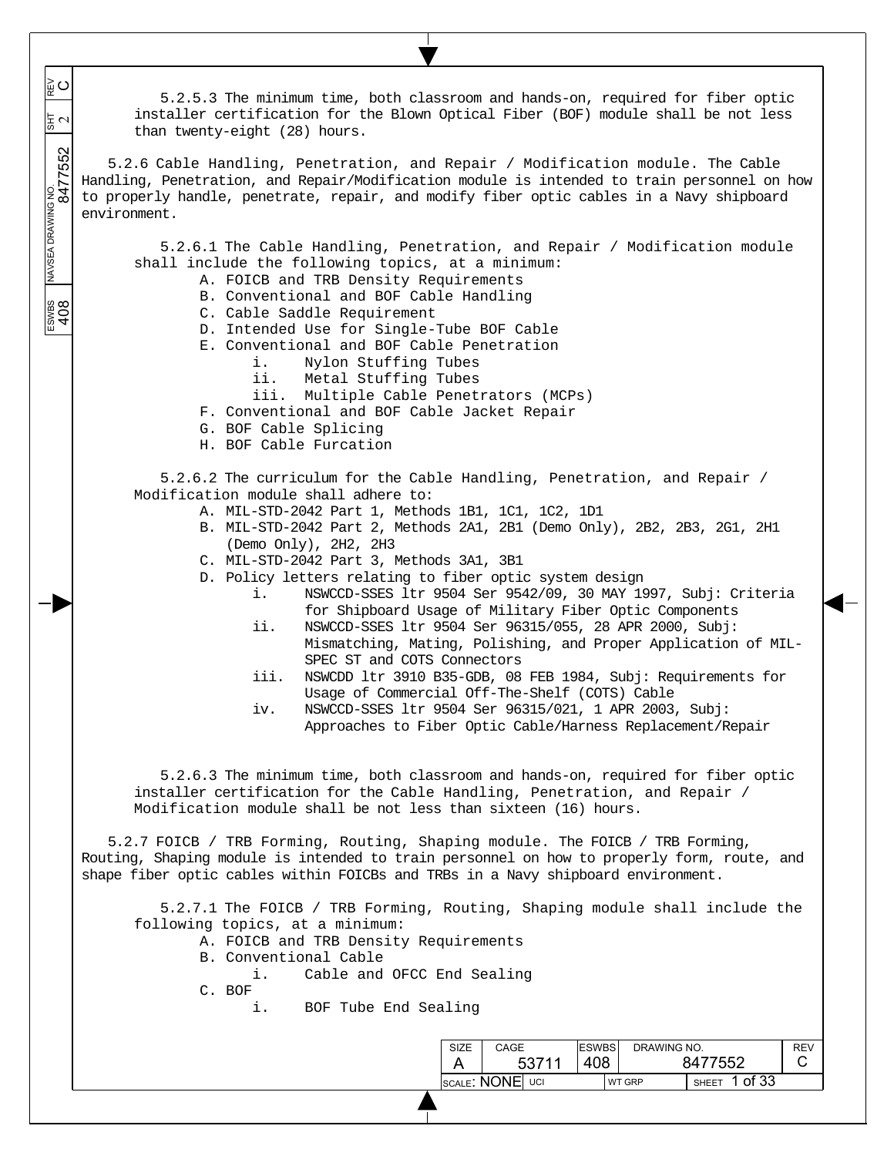| ျွ႕္ၾပ<br>$\frac{1}{3}$ $\sim$ | 5.2.5.3 The minimum time, both classroom and hands-on, required for fiber optic<br>installer certification for the Blown Optical Fiber (BOF) module shall be not less<br>than twenty-eight (28) hours.                                                                                                                                                                                                                                                                                                                                                                                                                                                                                                                                                                                                                                                                                                                                        |
|--------------------------------|-----------------------------------------------------------------------------------------------------------------------------------------------------------------------------------------------------------------------------------------------------------------------------------------------------------------------------------------------------------------------------------------------------------------------------------------------------------------------------------------------------------------------------------------------------------------------------------------------------------------------------------------------------------------------------------------------------------------------------------------------------------------------------------------------------------------------------------------------------------------------------------------------------------------------------------------------|
| NAVSEA DRAWNG NO.<br>8477552   | 5.2.6 Cable Handling, Penetration, and Repair / Modification module. The Cable<br>Handling, Penetration, and Repair/Modification module is intended to train personnel on how<br>to properly handle, penetrate, repair, and modify fiber optic cables in a Navy shipboard<br>environment.                                                                                                                                                                                                                                                                                                                                                                                                                                                                                                                                                                                                                                                     |
| ESWBS<br>408                   | 5.2.6.1 The Cable Handling, Penetration, and Repair / Modification module<br>shall include the following topics, at a minimum:<br>A. FOICB and TRB Density Requirements<br>B. Conventional and BOF Cable Handling<br>C. Cable Saddle Requirement<br>D. Intended Use for Single-Tube BOF Cable<br>E. Conventional and BOF Cable Penetration<br>Nylon Stuffing Tubes<br>i.<br>Metal Stuffing Tubes<br>ii.<br>iii. Multiple Cable Penetrators (MCPs)<br>F. Conventional and BOF Cable Jacket Repair<br>G. BOF Cable Splicing<br>H. BOF Cable Furcation                                                                                                                                                                                                                                                                                                                                                                                           |
|                                | 5.2.6.2 The curriculum for the Cable Handling, Penetration, and Repair /<br>Modification module shall adhere to:<br>A. MIL-STD-2042 Part 1, Methods 1B1, 1C1, 1C2, 1D1<br>B. MIL-STD-2042 Part 2, Methods 2A1, 2B1 (Demo Only), 2B2, 2B3, 2G1, 2H1<br>(Demo Only), 2H2, 2H3<br>C. MIL-STD-2042 Part 3, Methods 3A1, 3B1<br>D. Policy letters relating to fiber optic system design<br>NSWCCD-SSES ltr 9504 Ser 9542/09, 30 MAY 1997, Subj: Criteria<br>i.<br>for Shipboard Usage of Military Fiber Optic Components<br>NSWCCD-SSES ltr 9504 Ser 96315/055, 28 APR 2000, Subj:<br>ii.<br>Mismatching, Mating, Polishing, and Proper Application of MIL-<br>SPEC ST and COTS Connectors<br>iii.<br>NSWCDD ltr 3910 B35-GDB, 08 FEB 1984, Subj: Requirements for<br>Usage of Commercial Off-The-Shelf (COTS) Cable<br>NSWCCD-SSES ltr 9504 Ser 96315/021, 1 APR 2003, Subj:<br>iv.<br>Approaches to Fiber Optic Cable/Harness Replacement/Repair |
|                                | 5.2.6.3 The minimum time, both classroom and hands-on, required for fiber optic<br>installer certification for the Cable Handling, Penetration, and Repair /<br>Modification module shall be not less than sixteen (16) hours.<br>5.2.7 FOICB / TRB Forming, Routing, Shaping module. The FOICB / TRB Forming,                                                                                                                                                                                                                                                                                                                                                                                                                                                                                                                                                                                                                                |
|                                | Routing, Shaping module is intended to train personnel on how to properly form, route, and<br>shape fiber optic cables within FOICBs and TRBs in a Navy shipboard environment.<br>5.2.7.1 The FOICB / TRB Forming, Routing, Shaping module shall include the<br>following topics, at a minimum:<br>A. FOICB and TRB Density Requirements<br>B. Conventional Cable<br>Cable and OFCC End Sealing<br>i.<br>C. BOF<br>BOF Tube End Sealing<br>i.                                                                                                                                                                                                                                                                                                                                                                                                                                                                                                 |
|                                | <b>ESWBS</b><br>CAGE<br>DRAWING NO.<br><b>REV</b><br><b>SIZE</b><br>408<br>C.<br>53711<br>8477552<br>A<br><b>SCALE: NONE UCI</b><br>SHEET 1 of 33<br>WT GRP                                                                                                                                                                                                                                                                                                                                                                                                                                                                                                                                                                                                                                                                                                                                                                                   |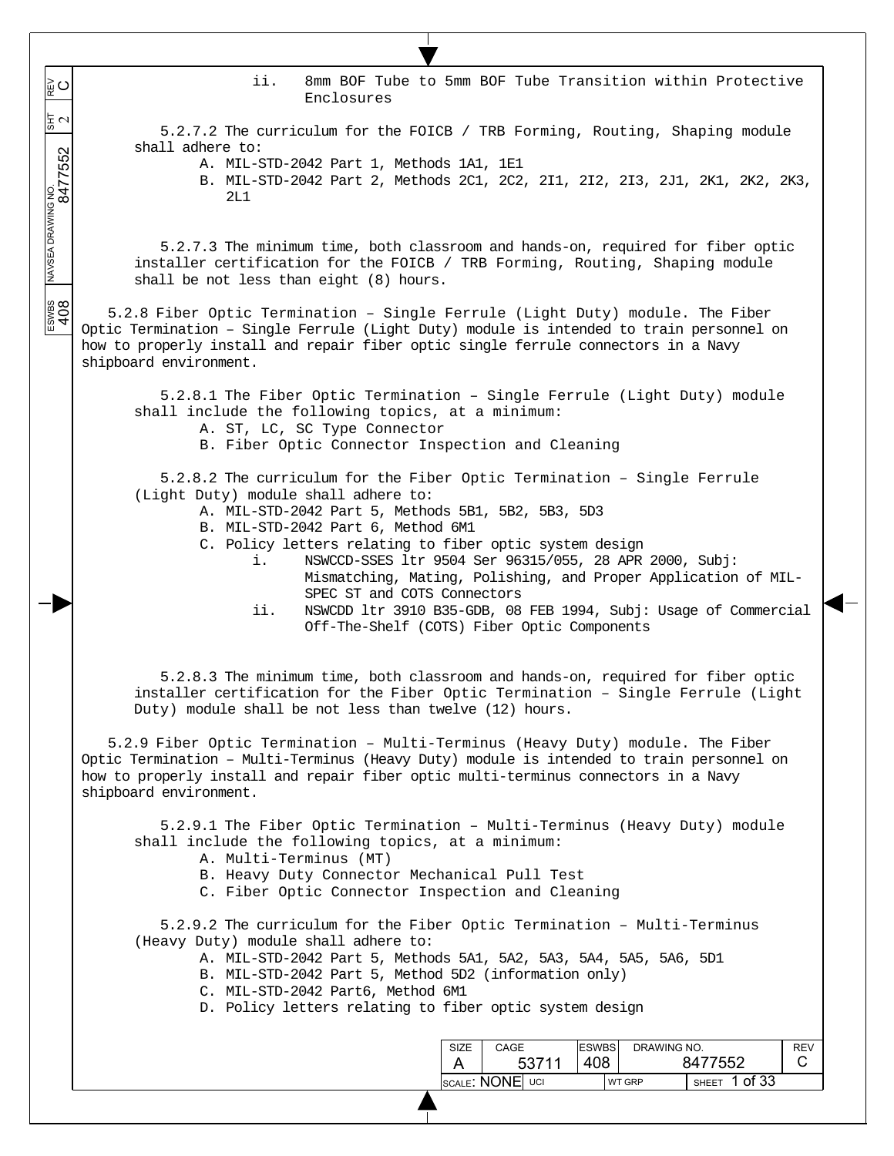ii. 8mm BOF Tube to 5mm BOF Tube Transition within Protective Enclosures

5.2.7.2 The curriculum for the FOICB / TRB Forming, Routing, Shaping module shall adhere to:

A. MIL-STD-2042 Part 1, Methods 1A1, 1E1

 $\overline{\phantom{a}}$ ူ့ပ  $\overline{\phantom{a}}$ 

 $\overline{\phantom{a}}$  $\overline{\phantom{a}}$  동지

 $\overline{\phantom{a}}$ 

ESWBS NAVSEA DRAWING NO.  $\frac{1}{817}$  REV 8477552 2

 $rac{1}{2}$ 

B. MIL-STD-2042 Part 2, Methods 2C1, 2C2, 2I1, 2I2, 2I3, 2J1, 2K1, 2K2, 2K3, 2L1

5.2.7.3 The minimum time, both classroom and hands-on, required for fiber optic installer certification for the FOICB / TRB Forming, Routing, Shaping module shall be not less than eight (8) hours.

5.2.8 Fiber Optic Termination – Single Ferrule (Light Duty) module. The Fiber Optic Termination – Single Ferrule (Light Duty) module is intended to train personnel on how to properly install and repair fiber optic single ferrule connectors in a Navy shipboard environment.

5.2.8.1 The Fiber Optic Termination – Single Ferrule (Light Duty) module shall include the following topics, at a minimum:

- A. ST, LC, SC Type Connector
- B. Fiber Optic Connector Inspection and Cleaning

5.2.8.2 The curriculum for the Fiber Optic Termination – Single Ferrule (Light Duty) module shall adhere to:

- A. MIL-STD-2042 Part 5, Methods 5B1, 5B2, 5B3, 5D3
- B. MIL-STD-2042 Part 6, Method 6M1
- C. Policy letters relating to fiber optic system design
	- i. NSWCCD-SSES ltr 9504 Ser 96315/055, 28 APR 2000, Subj: Mismatching, Mating, Polishing, and Proper Application of MIL-SPEC ST and COTS Connectors
	- ii. NSWCDD ltr 3910 B35-GDB, 08 FEB 1994, Subj: Usage of Commercial Off-The-Shelf (COTS) Fiber Optic Components

5.2.8.3 The minimum time, both classroom and hands-on, required for fiber optic installer certification for the Fiber Optic Termination – Single Ferrule (Light Duty) module shall be not less than twelve (12) hours.

5.2.9 Fiber Optic Termination – Multi-Terminus (Heavy Duty) module. The Fiber Optic Termination – Multi-Terminus (Heavy Duty) module is intended to train personnel on how to properly install and repair fiber optic multi-terminus connectors in a Navy shipboard environment.

5.2.9.1 The Fiber Optic Termination – Multi-Terminus (Heavy Duty) module shall include the following topics, at a minimum:

- A. Multi-Terminus (MT)
- B. Heavy Duty Connector Mechanical Pull Test
- C. Fiber Optic Connector Inspection and Cleaning

5.2.9.2 The curriculum for the Fiber Optic Termination – Multi-Terminus (Heavy Duty) module shall adhere to:

A. MIL-STD-2042 Part 5, Methods 5A1, 5A2, 5A3, 5A4, 5A5, 5A6, 5D1

- B. MIL-STD-2042 Part 5, Method 5D2 (information only)
- C. MIL-STD-2042 Part6, Method 6M1
- D. Policy letters relating to fiber optic system design

| SIZE | CAGE                    |       | <b>ESWBS</b> | DRAWING NO.   |              |         | <b>REV</b> |
|------|-------------------------|-------|--------------|---------------|--------------|---------|------------|
|      |                         | 53711 | 408          | 8477552       |              |         |            |
|      | <b>ISCALE: NONE</b> UCI |       |              | <b>WT GRP</b> | <b>SHEET</b> | 1 of 33 |            |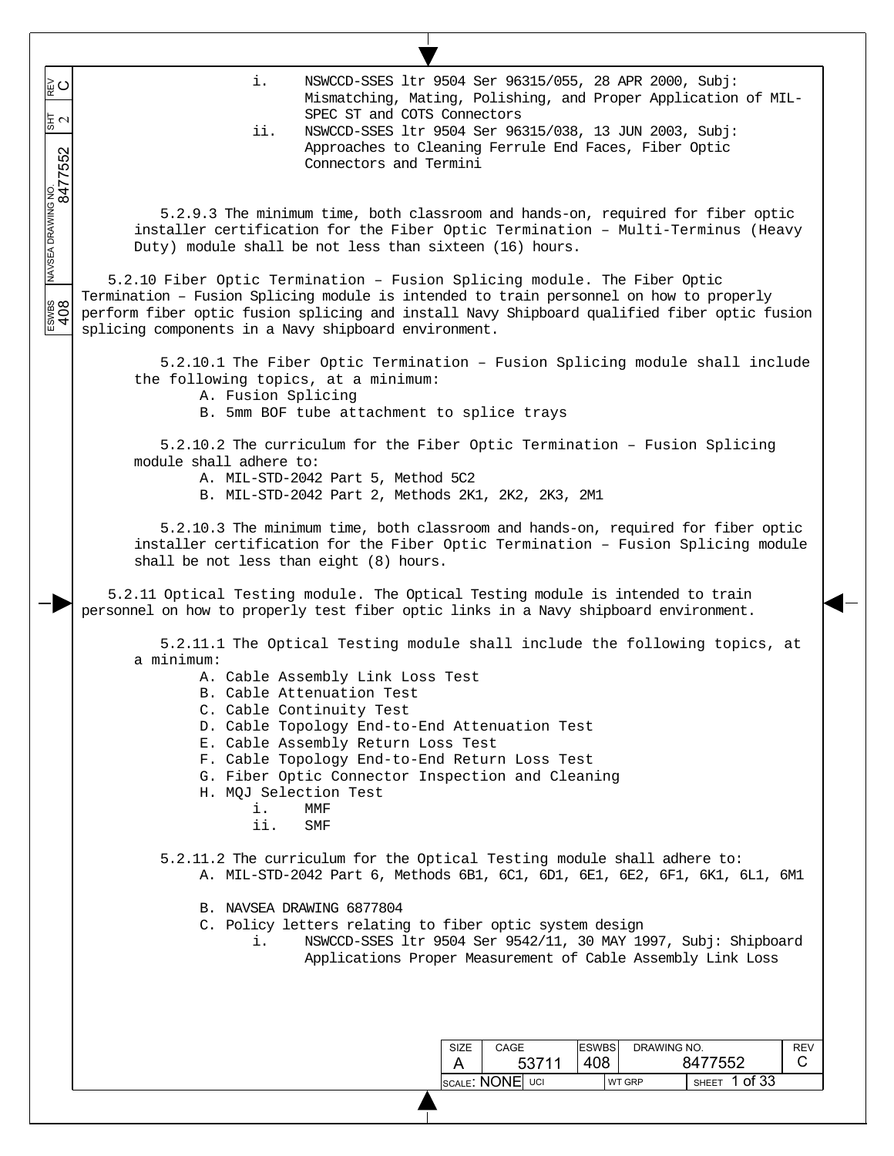i. NSWCCD-SSES ltr 9504 Ser 96315/055, 28 APR 2000, Subj: ESWBS NAVSEA DRAWING NO.  $\frac{1}{817}$  REV 8477552 2 ≩໐ Mismatching, Mating, Polishing, and Proper Application of MIL-SPEC ST and COTS Connectors  $\frac{1}{2}$ ii. NSWCCD-SSES ltr 9504 Ser 96315/038, 13 JUN 2003, Subj: Approaches to Cleaning Ferrule End Faces, Fiber Optic Connectors and Termini 5.2.9.3 The minimum time, both classroom and hands-on, required for fiber optic installer certification for the Fiber Optic Termination – Multi-Terminus (Heavy Duty) module shall be not less than sixteen (16) hours. 5.2.10 Fiber Optic Termination – Fusion Splicing module. The Fiber Optic Termination – Fusion Splicing module is intended to train personnel on how to properly perform fiber optic fusion splicing and install Navy Shipboard qualified fiber optic fusion splicing components in a Navy shipboard environment. 5.2.10.1 The Fiber Optic Termination – Fusion Splicing module shall include the following topics, at a minimum: A. Fusion Splicing B. 5mm BOF tube attachment to splice trays 5.2.10.2 The curriculum for the Fiber Optic Termination – Fusion Splicing module shall adhere to: A. MIL-STD-2042 Part 5, Method 5C2 B. MIL-STD-2042 Part 2, Methods 2K1, 2K2, 2K3, 2M1 5.2.10.3 The minimum time, both classroom and hands-on, required for fiber optic installer certification for the Fiber Optic Termination – Fusion Splicing module shall be not less than eight (8) hours. 5.2.11 Optical Testing module. The Optical Testing module is intended to train personnel on how to properly test fiber optic links in a Navy shipboard environment. 5.2.11.1 The Optical Testing module shall include the following topics, at a minimum: A. Cable Assembly Link Loss Test B. Cable Attenuation Test C. Cable Continuity Test D. Cable Topology End-to-End Attenuation Test E. Cable Assembly Return Loss Test F. Cable Topology End-to-End Return Loss Test G. Fiber Optic Connector Inspection and Cleaning H. MQJ Selection Test i. MMF ii. SMF 5.2.11.2 The curriculum for the Optical Testing module shall adhere to: A. MIL-STD-2042 Part 6, Methods 6B1, 6C1, 6D1, 6E1, 6E2, 6F1, 6K1, 6L1, 6M1 B. NAVSEA DRAWING 6877804 C. Policy letters relating to fiber optic system design i. NSWCCD-SSES ltr 9504 Ser 9542/11, 30 MAY 1997, Subj: Shipboard Applications Proper Measurement of Cable Assembly Link Loss ESWBS DRAWING NO. SIZE CAGE **REV**  C 408 8477552 A 53711 SCALE: NONE UCI WT GRP SHEET 1 of 33

 $\overline{\phantom{a}}$  $\overline{\phantom{a}}$  $\overline{\phantom{a}}$ 

 $\overline{\phantom{a}}$  $\overline{\phantom{a}}$ 

 $\overline{\phantom{a}}$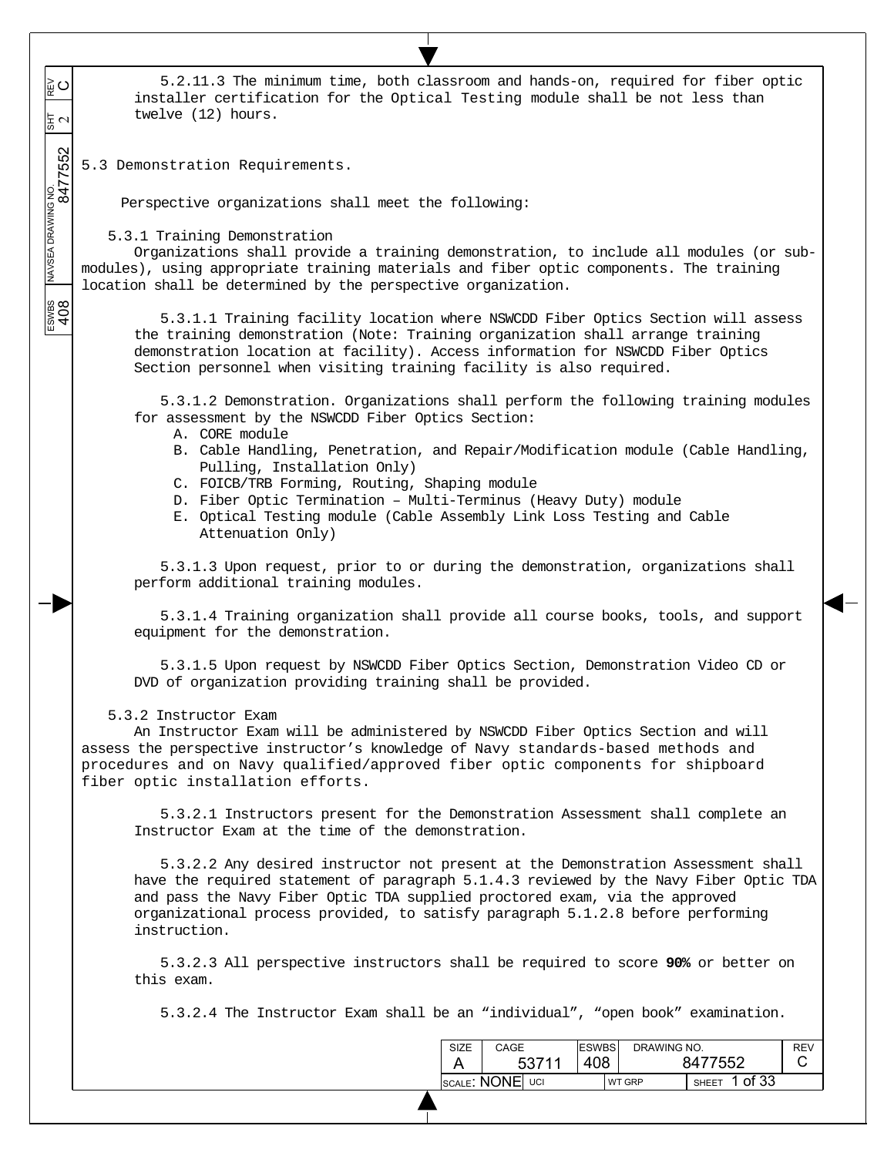$\overline{\phantom{a}}$ 5.2.11.3 The minimum time, both classroom and hands-on, required for fiber optic ESWBS NAVSEA DRAWING NO.  $\frac{1}{817}$  REV 8477552 2 ≩໐  $\overline{\phantom{a}}$ installer certification for the Optical Testing module shall be not less than  $\overline{\phantom{a}}$ twelve (12) hours. 동지  $\overline{\phantom{a}}$  $\overline{\phantom{a}}$ 5.3 Demonstration Requirements.  $\overline{\phantom{a}}$ Perspective organizations shall meet the following: 5.3.1 Training Demonstration Organizations shall provide a training demonstration, to include all modules (or submodules), using appropriate training materials and fiber optic components. The training location shall be determined by the perspective organization. ESWBS<br>408 5.3.1.1 Training facility location where NSWCDD Fiber Optics Section will assess the training demonstration (Note: Training organization shall arrange training demonstration location at facility). Access information for NSWCDD Fiber Optics Section personnel when visiting training facility is also required. 5.3.1.2 Demonstration. Organizations shall perform the following training modules for assessment by the NSWCDD Fiber Optics Section: A. CORE module B. Cable Handling, Penetration, and Repair/Modification module (Cable Handling, Pulling, Installation Only) C. FOICB/TRB Forming, Routing, Shaping module D. Fiber Optic Termination – Multi-Terminus (Heavy Duty) module E. Optical Testing module (Cable Assembly Link Loss Testing and Cable Attenuation Only) 5.3.1.3 Upon request, prior to or during the demonstration, organizations shall perform additional training modules. 5.3.1.4 Training organization shall provide all course books, tools, and support equipment for the demonstration. 5.3.1.5 Upon request by NSWCDD Fiber Optics Section, Demonstration Video CD or DVD of organization providing training shall be provided. 5.3.2 Instructor Exam An Instructor Exam will be administered by NSWCDD Fiber Optics Section and will assess the perspective instructor's knowledge of Navy standards-based methods and procedures and on Navy qualified/approved fiber optic components for shipboard fiber optic installation efforts. 5.3.2.1 Instructors present for the Demonstration Assessment shall complete an Instructor Exam at the time of the demonstration. 5.3.2.2 Any desired instructor not present at the Demonstration Assessment shall have the required statement of paragraph 5.1.4.3 reviewed by the Navy Fiber Optic TDA and pass the Navy Fiber Optic TDA supplied proctored exam, via the approved organizational process provided, to satisfy paragraph 5.1.2.8 before performing instruction. 5.3.2.3 All perspective instructors shall be required to score **90%** or better on this exam. 5.3.2.4 The Instructor Exam shall be an "individual", "open book" examination. ESWBS DRAWING NO. SIZE CAGE REV C 408 8477552 A 53711

SCALE:  $\text{NONE}$  UCI WT GRP SHEET 1 of 33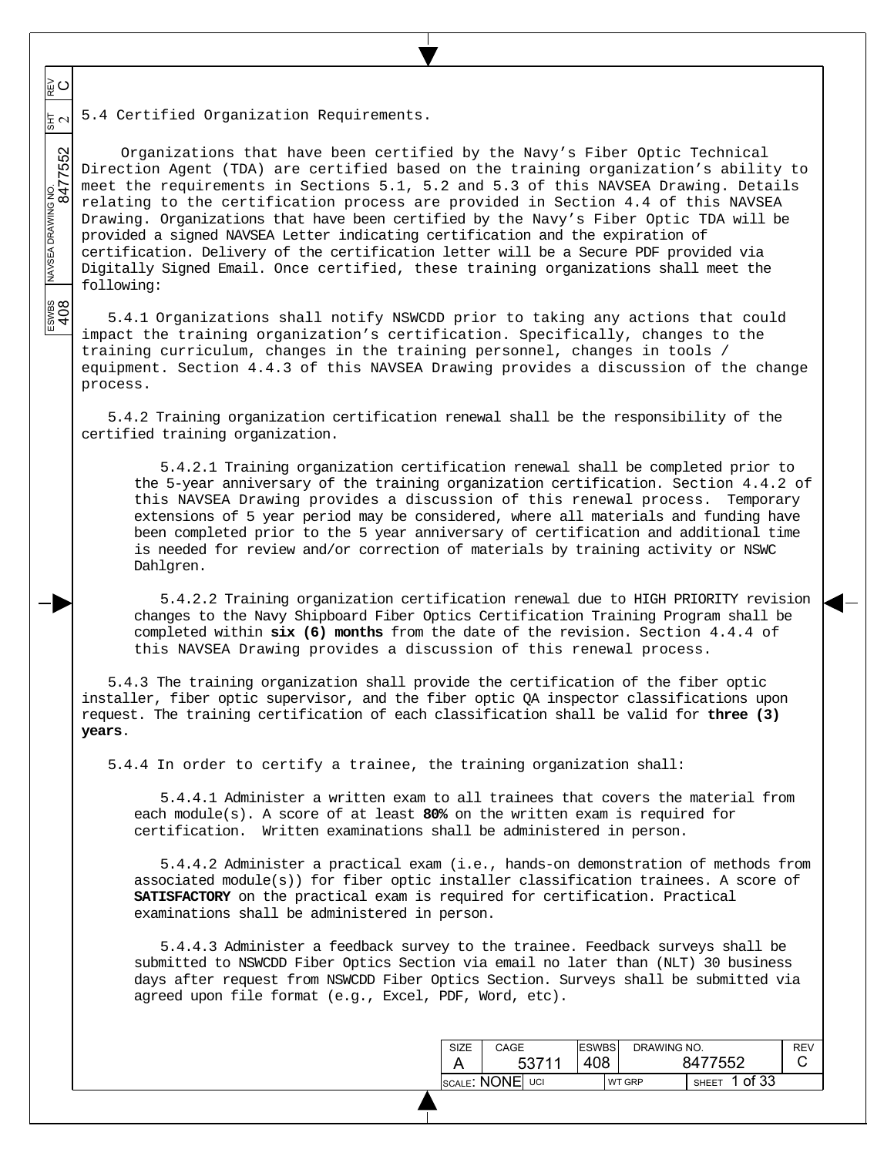5.4 Certified Organization Requirements. 보기

 $\overline{\phantom{a}}$  $\overline{\phantom{a}}$  $\overline{\phantom{a}}$ 

≌⊂

 $\overline{\phantom{a}}$  $\overline{\phantom{a}}$ 

 $\overline{\phantom{a}}$ 

ESWBS<br>408

ESWBS NAVSEA DRAWING NO.  $\frac{1}{817}$  REV 8477552 2 Organizations that have been certified by the Navy's Fiber Optic Technical Direction Agent (TDA) are certified based on the training organization's ability to meet the requirements in Sections 5.1, 5.2 and 5.3 of this NAVSEA Drawing. Details relating to the certification process are provided in Section 4.4 of this NAVSEA Drawing. Organizations that have been certified by the Navy's Fiber Optic TDA will be provided a signed NAVSEA Letter indicating certification and the expiration of certification. Delivery of the certification letter will be a Secure PDF provided via Digitally Signed Email. Once certified, these training organizations shall meet the following:

5.4.1 Organizations shall notify NSWCDD prior to taking any actions that could impact the training organization's certification. Specifically, changes to the training curriculum, changes in the training personnel, changes in tools / equipment. Section 4.4.3 of this NAVSEA Drawing provides a discussion of the change process.

5.4.2 Training organization certification renewal shall be the responsibility of the certified training organization.

5.4.2.1 Training organization certification renewal shall be completed prior to the 5-year anniversary of the training organization certification. Section 4.4.2 of this NAVSEA Drawing provides a discussion of this renewal process. Temporary extensions of 5 year period may be considered, where all materials and funding have been completed prior to the 5 year anniversary of certification and additional time is needed for review and/or correction of materials by training activity or NSWC Dahlgren.

5.4.2.2 Training organization certification renewal due to HIGH PRIORITY revision changes to the Navy Shipboard Fiber Optics Certification Training Program shall be completed within **six (6) months** from the date of the revision. Section 4.4.4 of this NAVSEA Drawing provides a discussion of this renewal process.

5.4.3 The training organization shall provide the certification of the fiber optic installer, fiber optic supervisor, and the fiber optic QA inspector classifications upon request. The training certification of each classification shall be valid for **three (3) years**.

5.4.4 In order to certify a trainee, the training organization shall:

5.4.4.1 Administer a written exam to all trainees that covers the material from each module(s). A score of at least **80%** on the written exam is required for certification. Written examinations shall be administered in person.

5.4.4.2 Administer a practical exam (i.e., hands-on demonstration of methods from associated module(s)) for fiber optic installer classification trainees. A score of **SATISFACTORY** on the practical exam is required for certification. Practical examinations shall be administered in person.

5.4.4.3 Administer a feedback survey to the trainee. Feedback surveys shall be submitted to NSWCDD Fiber Optics Section via email no later than (NLT) 30 business days after request from NSWCDD Fiber Optics Section. Surveys shall be submitted via agreed upon file format (e.g., Excel, PDF, Word, etc).

| SIZE            | CAGE  | <b>ESWBS</b> | DRAWING NO.   |                         | <b>REV</b> |
|-----------------|-------|--------------|---------------|-------------------------|------------|
|                 | 53711 | 408          |               | 8477552                 |            |
| SCALE: NONE UCI |       |              | <b>WT GRP</b> | 1 of 33<br><b>SHEET</b> |            |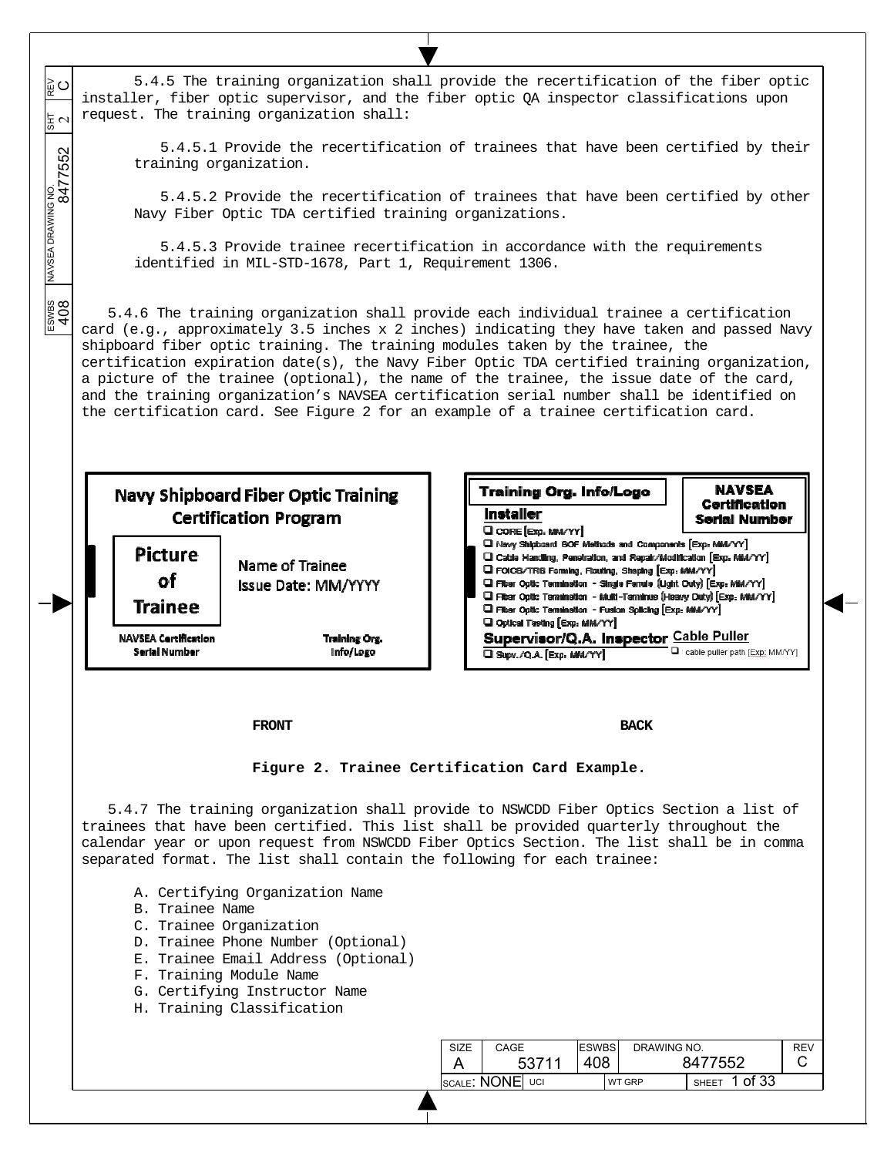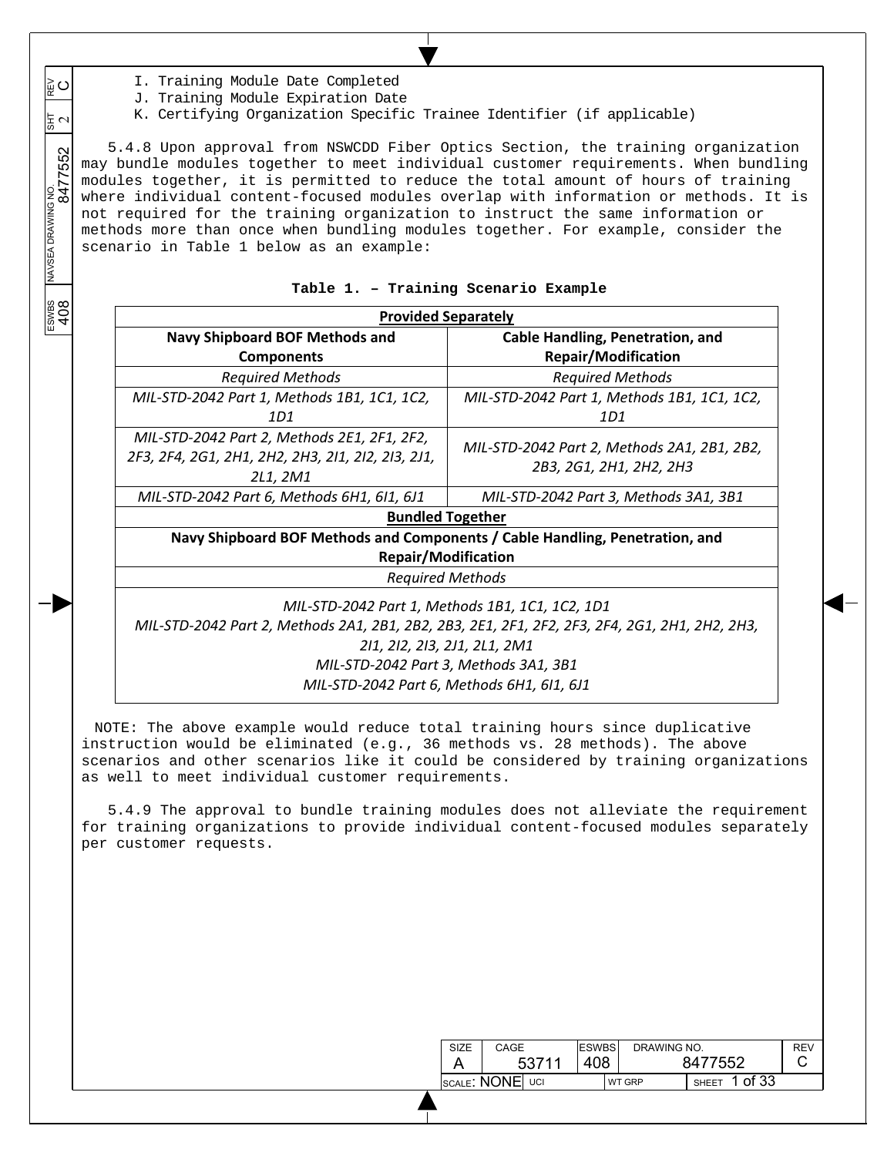I. Training Module Date Completed

 $\overline{\phantom{a}}$  $\overline{\phantom{a}}$  $\overline{\phantom{a}}$ 

≌⊂

동 ~

 $\overline{\phantom{a}}$  $\overline{\phantom{a}}$ 

 $\overline{\phantom{a}}$ 

ESWBS<br>408

- J. Training Module Expiration Date
- K. Certifying Organization Specific Trainee Identifier (if applicable)

ESWBS NAVSEA DRAWING NO.  $\frac{1}{817}$  REV 8477552 2 5.4.8 Upon approval from NSWCDD Fiber Optics Section, the training organization may bundle modules together to meet individual customer requirements. When bundling modules together, it is permitted to reduce the total amount of hours of training where individual content-focused modules overlap with information or methods. It is not required for the training organization to instruct the same information or methods more than once when bundling modules together. For example, consider the scenario in Table 1 below as an example:

|  |  |  | Table 1. - Training Scenario Example |  |  |
|--|--|--|--------------------------------------|--|--|
|--|--|--|--------------------------------------|--|--|

| <b>Provided Separately</b>                                                                                   |                                                                        |  |  |  |  |  |  |  |
|--------------------------------------------------------------------------------------------------------------|------------------------------------------------------------------------|--|--|--|--|--|--|--|
| <b>Navy Shipboard BOF Methods and</b>                                                                        | Cable Handling, Penetration, and                                       |  |  |  |  |  |  |  |
| <b>Components</b>                                                                                            | <b>Repair/Modification</b>                                             |  |  |  |  |  |  |  |
| <b>Required Methods</b>                                                                                      | <b>Required Methods</b>                                                |  |  |  |  |  |  |  |
| MIL-STD-2042 Part 1, Methods 1B1, 1C1, 1C2,                                                                  | MIL-STD-2042 Part 1, Methods 1B1, 1C1, 1C2,                            |  |  |  |  |  |  |  |
| 1D1                                                                                                          | 1D1                                                                    |  |  |  |  |  |  |  |
| MIL-STD-2042 Part 2, Methods 2E1, 2F1, 2F2,<br>2F3, 2F4, 2G1, 2H1, 2H2, 2H3, 2I1, 2I2, 2I3, 2J1,<br>2L1, 2M1 | MIL-STD-2042 Part 2, Methods 2A1, 2B1, 2B2,<br>2B3, 2G1, 2H1, 2H2, 2H3 |  |  |  |  |  |  |  |
| MIL-STD-2042 Part 6, Methods 6H1, 6I1, 6J1                                                                   | MIL-STD-2042 Part 3, Methods 3A1, 3B1                                  |  |  |  |  |  |  |  |
| <b>Bundled Together</b>                                                                                      |                                                                        |  |  |  |  |  |  |  |
| Navy Shipboard BOF Methods and Components / Cable Handling, Penetration, and                                 |                                                                        |  |  |  |  |  |  |  |
| <b>Repair/Modification</b>                                                                                   |                                                                        |  |  |  |  |  |  |  |
| <b>Required Methods</b>                                                                                      |                                                                        |  |  |  |  |  |  |  |
| MIL-STD-2042 Part 1, Methods 1B1, 1C1, 1C2, 1D1                                                              |                                                                        |  |  |  |  |  |  |  |
| MIL-STD-2042 Part 2, Methods 2A1, 2B1, 2B2, 2B3, 2E1, 2F1, 2F2, 2F3, 2F4, 2G1, 2H1, 2H2, 2H3,                |                                                                        |  |  |  |  |  |  |  |
| 211, 212, 213, 2J1, 2L1, 2M1                                                                                 |                                                                        |  |  |  |  |  |  |  |
| MIL-STD-2042 Part 3, Methods 3A1, 3B1                                                                        |                                                                        |  |  |  |  |  |  |  |

*MIL‐STD‐2042 Part 6, Methods 6H1, 6I1, 6J1* 

NOTE: The above example would reduce total training hours since duplicative instruction would be eliminated (e.g., 36 methods vs. 28 methods). The above scenarios and other scenarios like it could be considered by training organizations as well to meet individual customer requirements.

5.4.9 The approval to bundle training modules does not alleviate the requirement for training organizations to provide individual content-focused modules separately per customer requests.

| SIZE | CAGE            | <b>ESWBS</b> | DRAWING NO.   |                       | RFV |
|------|-----------------|--------------|---------------|-----------------------|-----|
|      | 53711           | 408          |               | 8477552               |     |
|      | SCALE: NONE UCI |              | <b>WT GRP</b> | of 33<br><b>SHEET</b> |     |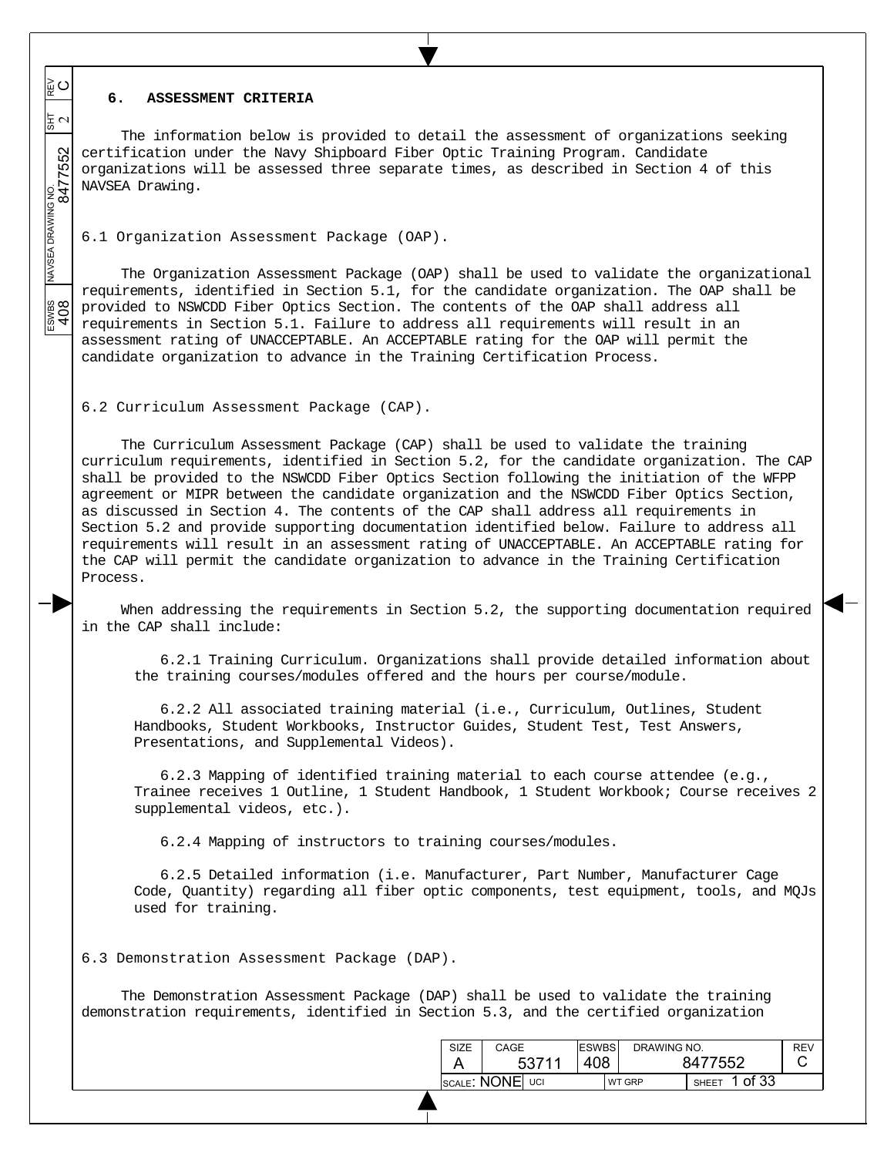# **6. ASSESSMENT CRITERIA**

 $\overline{\phantom{a}}$  $\overline{\phantom{a}}$  $\overline{\phantom{a}}$ 

≌⊂

동지

 $\overline{\phantom{a}}$  $\overline{\phantom{a}}$ 

 $\overline{\phantom{a}}$ 

ESWBS NAVSEA DRAWING NO.  $\frac{1}{817}$  REV 8477552 2

ESWBS<br>408

The information below is provided to detail the assessment of organizations seeking certification under the Navy Shipboard Fiber Optic Training Program. Candidate organizations will be assessed three separate times, as described in Section 4 of this NAVSEA Drawing.

6.1 Organization Assessment Package (OAP).

The Organization Assessment Package (OAP) shall be used to validate the organizational requirements, identified in Section 5.1, for the candidate organization. The OAP shall be provided to NSWCDD Fiber Optics Section. The contents of the OAP shall address all requirements in Section 5.1. Failure to address all requirements will result in an assessment rating of UNACCEPTABLE. An ACCEPTABLE rating for the OAP will permit the candidate organization to advance in the Training Certification Process.

6.2 Curriculum Assessment Package (CAP).

The Curriculum Assessment Package (CAP) shall be used to validate the training curriculum requirements, identified in Section 5.2, for the candidate organization. The CAP shall be provided to the NSWCDD Fiber Optics Section following the initiation of the WFPP agreement or MIPR between the candidate organization and the NSWCDD Fiber Optics Section, as discussed in Section 4. The contents of the CAP shall address all requirements in Section 5.2 and provide supporting documentation identified below. Failure to address all requirements will result in an assessment rating of UNACCEPTABLE. An ACCEPTABLE rating for the CAP will permit the candidate organization to advance in the Training Certification Process.

When addressing the requirements in Section 5.2, the supporting documentation required in the CAP shall include:

6.2.1 Training Curriculum. Organizations shall provide detailed information about the training courses/modules offered and the hours per course/module.

6.2.2 All associated training material (i.e., Curriculum, Outlines, Student Handbooks, Student Workbooks, Instructor Guides, Student Test, Test Answers, Presentations, and Supplemental Videos).

6.2.3 Mapping of identified training material to each course attendee (e.g., Trainee receives 1 Outline, 1 Student Handbook, 1 Student Workbook; Course receives 2 supplemental videos, etc.).

6.2.4 Mapping of instructors to training courses/modules.

6.2.5 Detailed information (i.e. Manufacturer, Part Number, Manufacturer Cage Code, Quantity) regarding all fiber optic components, test equipment, tools, and MQJs used for training.

6.3 Demonstration Assessment Package (DAP).

The Demonstration Assessment Package (DAP) shall be used to validate the training demonstration requirements, identified in Section 5.3, and the certified organization

| SIZE | CAGE                                                | <b>IESWBS</b> | DRAWING NO.   |                | <b>REV</b> |
|------|-----------------------------------------------------|---------------|---------------|----------------|------------|
|      | 53711                                               | 408           |               | 8477552        | U          |
|      | $ {}_{\text{SCALE}}$ : NONE $ $ $\backslash$<br>UCI |               | <b>WT GRP</b> | of 33<br>SHEET |            |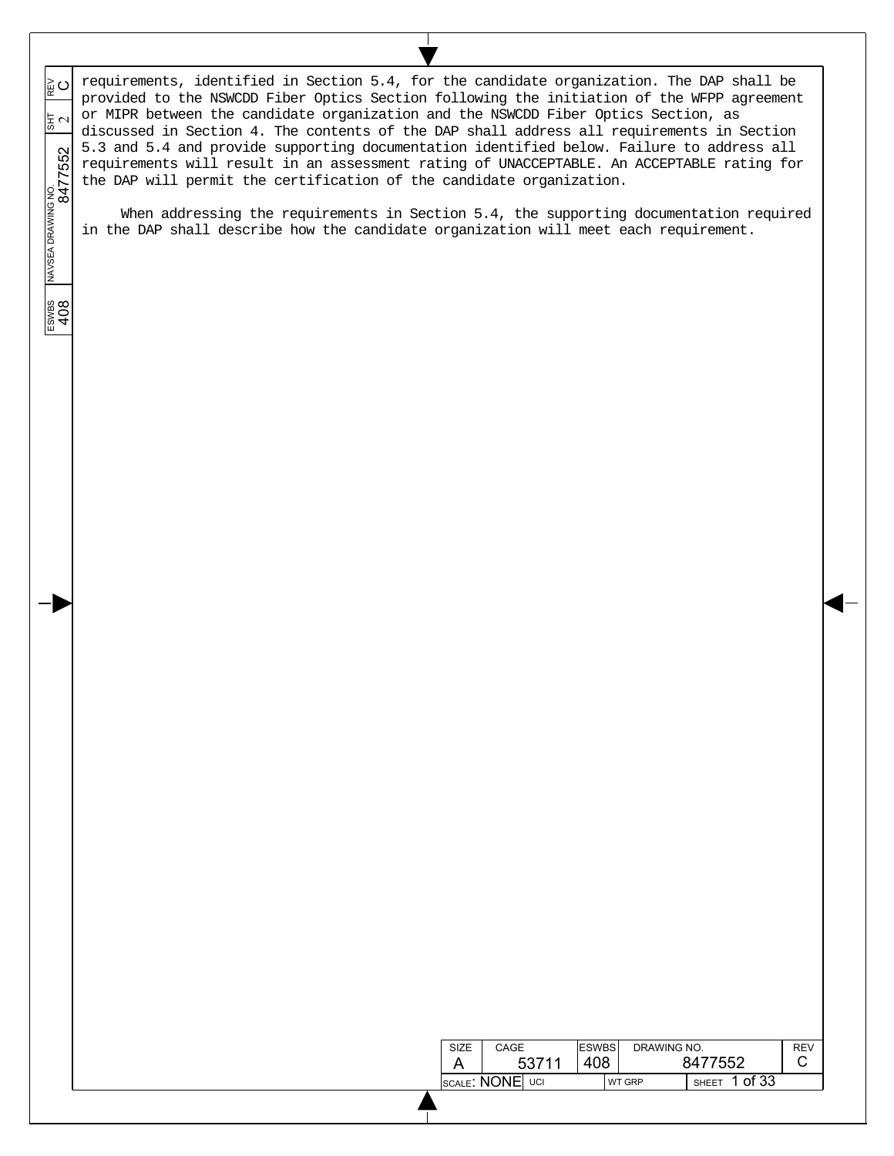requirements, identified in Section 5.4, for the candidate organization. The DAP shall be ESWBS NAVSEA DRAWING NO.  $\frac{1}{817}$  REV 8477552 2  $\circ$ provided to the NSWCDD Fiber Optics Section following the initiation of the WFPP agreement or MIPR between the candidate organization and the NSWCDD Fiber Optics Section, as 동시 discussed in Section 4. The contents of the DAP shall address all requirements in Section 5.3 and 5.4 and provide supporting documentation identified below. Failure to address all requirements will result in an assessment rating of UNACCEPTABLE. An ACCEPTABLE rating for the DAP will permit the certification of the candidate organization.

When addressing the requirements in Section 5.4, the supporting documentation required in the DAP shall describe how the candidate organization will meet each requirement.

# $\frac{1}{2}$ <br>408

 $\overline{\phantom{a}}$  $\overline{\phantom{a}}$  $\overline{\phantom{a}}$ 

 $\overline{\phantom{a}}$  $\overline{\phantom{a}}$ 

 $\overline{\phantom{a}}$ 

| SIZE             | CAGE |       | <b>ESWBS</b> | DRAWING NO.   |              |       | REV |
|------------------|------|-------|--------------|---------------|--------------|-------|-----|
| A                |      | 53711 | 408          |               | 8477552      |       |     |
| Iscale: NONE UCI |      |       |              | <b>WT GRP</b> | <b>SHEET</b> | of 33 |     |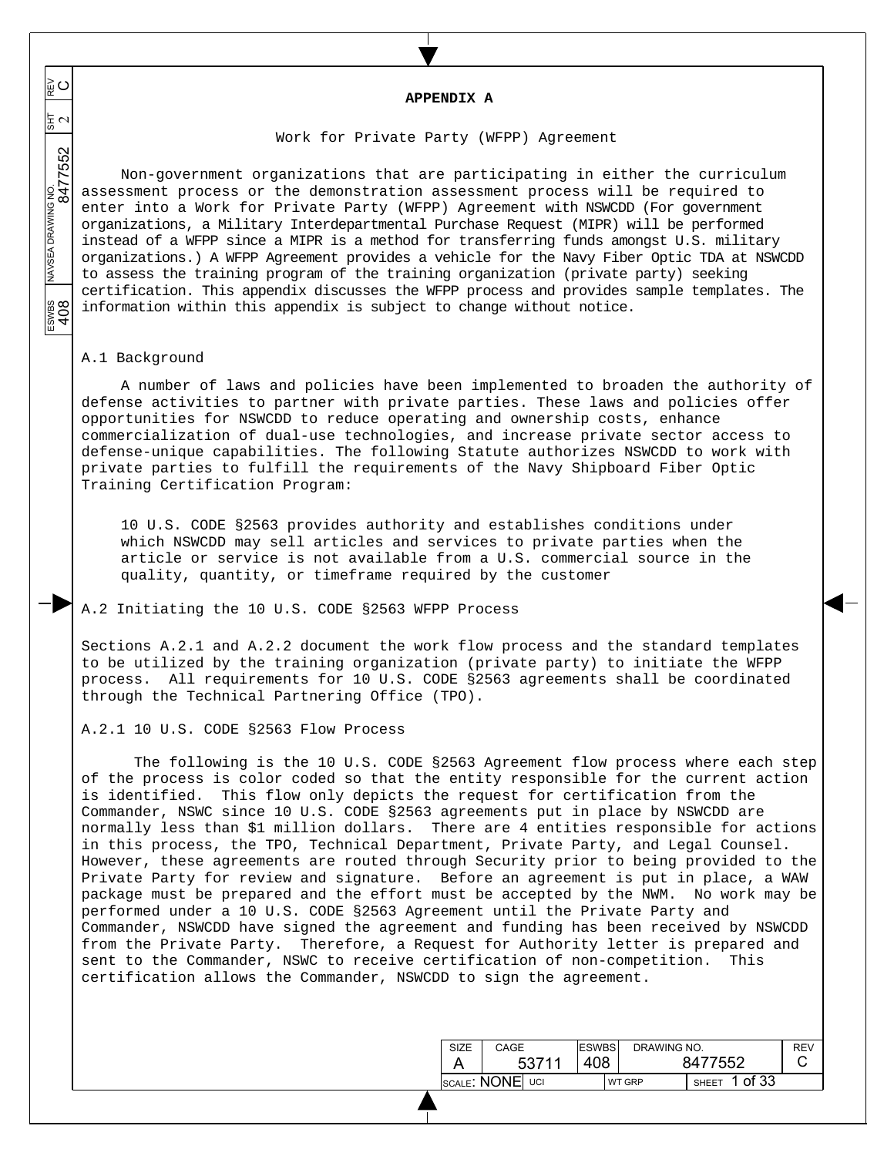**APPENDIX A** 

### Work for Private Party (WFPP) Agreement

Non-government organizations that are participating in either the curriculum assessment process or the demonstration assessment process will be required to enter into a Work for Private Party (WFPP) Agreement with NSWCDD (For government organizations, a Military Interdepartmental Purchase Request (MIPR) will be performed instead of a WFPP since a MIPR is a method for transferring funds amongst U.S. military organizations.) A WFPP Agreement provides a vehicle for the Navy Fiber Optic TDA at NSWCDD to assess the training program of the training organization (private party) seeking certification. This appendix discusses the WFPP process and provides sample templates. The information within this appendix is subject to change without notice.

### A.1 Background

 $\overline{\phantom{a}}$  $\overline{\phantom{a}}$  $\overline{\phantom{a}}$ 

≩໐

 $\frac{1}{2}$   $\sigma$ 

 $\overline{\phantom{a}}$  $\overline{\phantom{a}}$ 

 $\overline{\phantom{a}}$ 

ESWBS NAVSEA DRAWING NO.  $\frac{1}{817}$  REV 8477552 2

ESWES<br>408

A number of laws and policies have been implemented to broaden the authority of defense activities to partner with private parties. These laws and policies offer opportunities for NSWCDD to reduce operating and ownership costs, enhance commercialization of dual-use technologies, and increase private sector access to defense-unique capabilities. The following Statute authorizes NSWCDD to work with private parties to fulfill the requirements of the Navy Shipboard Fiber Optic Training Certification Program:

10 U.S. CODE §2563 provides authority and establishes conditions under which NSWCDD may sell articles and services to private parties when the article or service is not available from a U.S. commercial source in the quality, quantity, or timeframe required by the customer

A.2 Initiating the 10 U.S. CODE §2563 WFPP Process

Sections A.2.1 and A.2.2 document the work flow process and the standard templates to be utilized by the training organization (private party) to initiate the WFPP process. All requirements for 10 U.S. CODE §2563 agreements shall be coordinated through the Technical Partnering Office (TPO).

# A.2.1 10 U.S. CODE §2563 Flow Process

The following is the 10 U.S. CODE §2563 Agreement flow process where each step of the process is color coded so that the entity responsible for the current action is identified. This flow only depicts the request for certification from the Commander, NSWC since 10 U.S. CODE §2563 agreements put in place by NSWCDD are normally less than \$1 million dollars. There are 4 entities responsible for actions in this process, the TPO, Technical Department, Private Party, and Legal Counsel. However, these agreements are routed through Security prior to being provided to the Private Party for review and signature. Before an agreement is put in place, a WAW package must be prepared and the effort must be accepted by the NWM. No work may be performed under a 10 U.S. CODE §2563 Agreement until the Private Party and Commander, NSWCDD have signed the agreement and funding has been received by NSWCDD from the Private Party. Therefore, a Request for Authority letter is prepared and sent to the Commander, NSWC to receive certification of non-competition. This certification allows the Commander, NSWCDD to sign the agreement.

| <b>SIZE</b>     | CAGE |       | <b>ESWBS</b> | DRAWING NO.           |  | REV |
|-----------------|------|-------|--------------|-----------------------|--|-----|
|                 |      | 53711 | 408          | 8477552               |  |     |
| SCALE: NONE UCI |      |       | WT GRP       | of 33<br><b>SHEET</b> |  |     |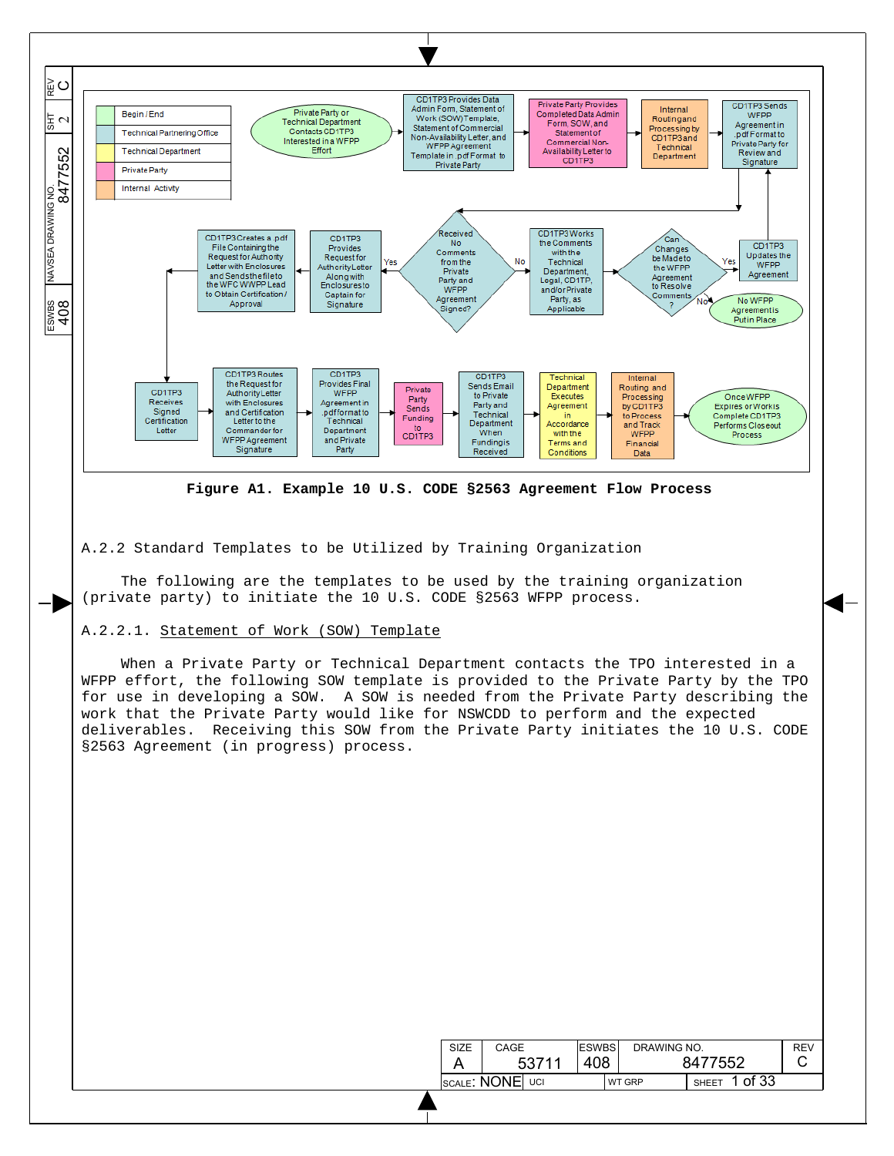

A.2.2 Standard Templates to be Utilized by Training Organization

The following are the templates to be used by the training organization (private party) to initiate the 10 U.S. CODE §2563 WFPP process.

# A.2.2.1. Statement of Work (SOW) Template

 $\overline{\phantom{a}}$ 

When a Private Party or Technical Department contacts the TPO interested in a WFPP effort, the following SOW template is provided to the Private Party by the TPO for use in developing a SOW. A SOW is needed from the Private Party describing the work that the Private Party would like for NSWCDD to perform and the expected deliverables. Receiving this SOW from the Private Party initiates the 10 U.S. CODE §2563 Agreement (in progress) process.

| <b>SIZE</b> | CAGE             | <b>ESWBS</b> | DRAWING NO.   |                       | <b>REV</b> |
|-------------|------------------|--------------|---------------|-----------------------|------------|
|             | 53711            | 408          |               | 8477552               |            |
|             | ISCALE: NONE UCI |              | <b>WT GRP</b> | of 33<br><b>SHEET</b> |            |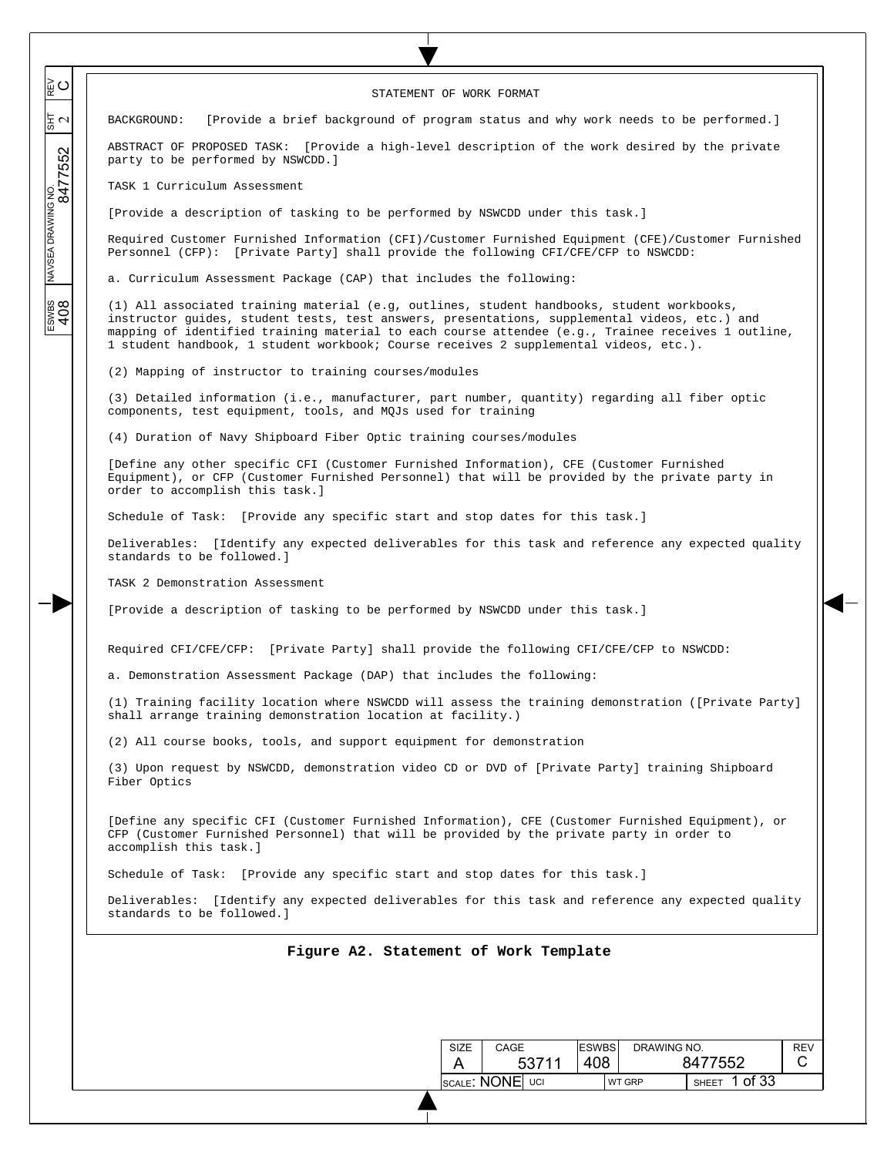| STATEMENT OF WORK FORMAT                                                                                                                                                                                                                                                                                                                                                                   |  |  |  |  |  |  |  |  |
|--------------------------------------------------------------------------------------------------------------------------------------------------------------------------------------------------------------------------------------------------------------------------------------------------------------------------------------------------------------------------------------------|--|--|--|--|--|--|--|--|
| [Provide a brief background of program status and why work needs to be performed.]<br>BACKGROUND:                                                                                                                                                                                                                                                                                          |  |  |  |  |  |  |  |  |
| ABSTRACT OF PROPOSED TASK: [Provide a high-level description of the work desired by the private<br>party to be performed by NSWCDD.]                                                                                                                                                                                                                                                       |  |  |  |  |  |  |  |  |
| TASK 1 Curriculum Assessment                                                                                                                                                                                                                                                                                                                                                               |  |  |  |  |  |  |  |  |
| [Provide a description of tasking to be performed by NSWCDD under this task.]                                                                                                                                                                                                                                                                                                              |  |  |  |  |  |  |  |  |
| Required Customer Furnished Information (CFI)/Customer Furnished Equipment (CFE)/Customer Furnished<br>Personnel (CFP): [Private Party] shall provide the following CFI/CFE/CFP to NSWCDD:                                                                                                                                                                                                 |  |  |  |  |  |  |  |  |
| a. Curriculum Assessment Package (CAP) that includes the following:                                                                                                                                                                                                                                                                                                                        |  |  |  |  |  |  |  |  |
| (1) All associated training material (e.g, outlines, student handbooks, student workbooks,<br>instructor guides, student tests, test answers, presentations, supplemental videos, etc.) and<br>mapping of identified training material to each course attendee (e.g., Trainee receives 1 outline,<br>1 student handbook, 1 student workbook; Course receives 2 supplemental videos, etc.). |  |  |  |  |  |  |  |  |
| (2) Mapping of instructor to training courses/modules                                                                                                                                                                                                                                                                                                                                      |  |  |  |  |  |  |  |  |
| (3) Detailed information (i.e., manufacturer, part number, quantity) regarding all fiber optic<br>components, test equipment, tools, and MQJs used for training                                                                                                                                                                                                                            |  |  |  |  |  |  |  |  |
| (4) Duration of Navy Shipboard Fiber Optic training courses/modules                                                                                                                                                                                                                                                                                                                        |  |  |  |  |  |  |  |  |
| [Define any other specific CFI (Customer Furnished Information), CFE (Customer Furnished<br>Equipment), or CFP (Customer Furnished Personnel) that will be provided by the private party in<br>order to accomplish this task.]                                                                                                                                                             |  |  |  |  |  |  |  |  |
| Schedule of Task: [Provide any specific start and stop dates for this task.]                                                                                                                                                                                                                                                                                                               |  |  |  |  |  |  |  |  |
| Deliverables: [Identify any expected deliverables for this task and reference any expected quality<br>standards to be followed.]                                                                                                                                                                                                                                                           |  |  |  |  |  |  |  |  |
| TASK 2 Demonstration Assessment                                                                                                                                                                                                                                                                                                                                                            |  |  |  |  |  |  |  |  |
| [Provide a description of tasking to be performed by NSWCDD under this task.]                                                                                                                                                                                                                                                                                                              |  |  |  |  |  |  |  |  |
| Required CFI/CFE/CFP: [Private Party] shall provide the following CFI/CFE/CFP to NSWCDD:                                                                                                                                                                                                                                                                                                   |  |  |  |  |  |  |  |  |
| a. Demonstration Assessment Package (DAP) that includes the following:                                                                                                                                                                                                                                                                                                                     |  |  |  |  |  |  |  |  |
| (1) Training facility location where NSWCDD will assess the training demonstration ([Private Party]<br>shall arrange training demonstration location at facility.)                                                                                                                                                                                                                         |  |  |  |  |  |  |  |  |
| (2) All course books, tools, and support equipment for demonstration                                                                                                                                                                                                                                                                                                                       |  |  |  |  |  |  |  |  |
| (3) Upon request by NSWCDD, demonstration video CD or DVD of [Private Party] training Shipboard<br>Fiber Optics                                                                                                                                                                                                                                                                            |  |  |  |  |  |  |  |  |
| [Define any specific CFI (Customer Furnished Information), CFE (Customer Furnished Equipment), or<br>CFP (Customer Furnished Personnel) that will be provided by the private party in order to<br>accomplish this task.]                                                                                                                                                                   |  |  |  |  |  |  |  |  |
| Schedule of Task: [Provide any specific start and stop dates for this task.]                                                                                                                                                                                                                                                                                                               |  |  |  |  |  |  |  |  |
| Deliverables: [Identify any expected deliverables for this task and reference any expected quality<br>standards to be followed.]                                                                                                                                                                                                                                                           |  |  |  |  |  |  |  |  |
| Figure A2. Statement of Work Template                                                                                                                                                                                                                                                                                                                                                      |  |  |  |  |  |  |  |  |
|                                                                                                                                                                                                                                                                                                                                                                                            |  |  |  |  |  |  |  |  |
|                                                                                                                                                                                                                                                                                                                                                                                            |  |  |  |  |  |  |  |  |
| <b>ESWBS</b><br>SIZE<br>CAGE<br>DRAWING NO.<br><b>REV</b><br>C                                                                                                                                                                                                                                                                                                                             |  |  |  |  |  |  |  |  |
| 408<br>8477552<br>53711<br>A<br>SHEET 1 of 33<br><b>SCALE: NONE</b> UCI<br>WT GRP                                                                                                                                                                                                                                                                                                          |  |  |  |  |  |  |  |  |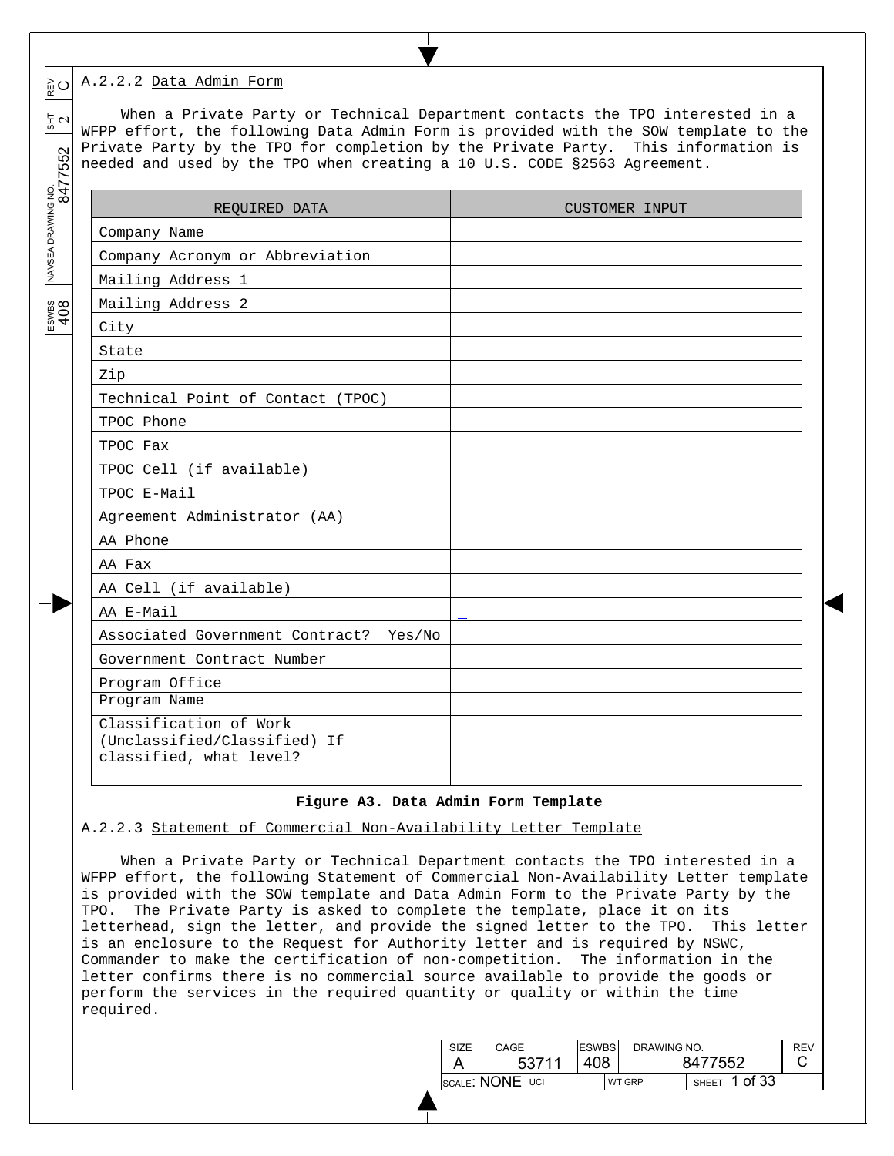#### $\circ$ A.2.2.2 Data Admin Form

 $\overline{\phantom{a}}$  $\overline{\phantom{a}}$  $\overline{\phantom{a}}$ 

| ∥ు ⊯                                       | A.2.2.2 Data Admin Form                                                                                                                                       | When a Private Party or Technical Department contacts the TPO interested in a       |
|--------------------------------------------|---------------------------------------------------------------------------------------------------------------------------------------------------------------|-------------------------------------------------------------------------------------|
| $\frac{1}{3}$ $\sim$<br>NAVSEA DRAWING NO. | Private Party by the TPO for completion by the Private Party. This information is<br>needed and used by the TPO when creating a 10 U.S. CODE §2563 Agreement. | WFPP effort, the following Data Admin Form is provided with the SOW template to the |
|                                            | REQUIRED DATA                                                                                                                                                 | CUSTOMER INPUT                                                                      |
|                                            | Company Name                                                                                                                                                  |                                                                                     |
|                                            | Company Acronym or Abbreviation                                                                                                                               |                                                                                     |
|                                            | Mailing Address 1                                                                                                                                             |                                                                                     |
|                                            | Mailing Address 2                                                                                                                                             |                                                                                     |
| $rac{1}{408}$                              | City                                                                                                                                                          |                                                                                     |
|                                            | State                                                                                                                                                         |                                                                                     |
|                                            | Zip                                                                                                                                                           |                                                                                     |
|                                            | Technical Point of Contact (TPOC)                                                                                                                             |                                                                                     |
|                                            | TPOC Phone                                                                                                                                                    |                                                                                     |
|                                            | TPOC Fax                                                                                                                                                      |                                                                                     |
|                                            | TPOC Cell (if available)                                                                                                                                      |                                                                                     |
|                                            | TPOC E-Mail                                                                                                                                                   |                                                                                     |
|                                            | Agreement Administrator (AA)                                                                                                                                  |                                                                                     |
|                                            | AA Phone                                                                                                                                                      |                                                                                     |
|                                            | AA Fax                                                                                                                                                        |                                                                                     |
|                                            | AA Cell (if available)                                                                                                                                        |                                                                                     |
|                                            | AA E-Mail                                                                                                                                                     |                                                                                     |
|                                            | Associated Government Contract?<br>Yes/No                                                                                                                     |                                                                                     |
|                                            | Government Contract Number                                                                                                                                    |                                                                                     |
|                                            | Program Office                                                                                                                                                |                                                                                     |
|                                            | Program Name                                                                                                                                                  |                                                                                     |
|                                            | Classification of Work<br>(Unclassified/Classified) If<br>classified, what level?                                                                             |                                                                                     |
|                                            | Figure A3. Data Admin Form Template<br>A.2.2.3 Statement of Commercial Non-Availability Letter Template                                                       |                                                                                     |

# **Figure A3. Data Admin Form Template**

When a Private Party or Technical Department contacts the TPO interested in a WFPP effort, the following Statement of Commercial Non-Availability Letter template is provided with the SOW template and Data Admin Form to the Private Party by the TPO. The Private Party is asked to complete the template, place it on its letterhead, sign the letter, and provide the signed letter to the TPO. This letter is an enclosure to the Request for Authority letter and is required by NSWC, Commander to make the certification of non-competition. The information in the letter confirms there is no commercial source available to provide the goods or perform the services in the required quantity or quality or within the time required.

| <b>SIZE</b> | CAGE            | <b>ESWBS</b> |        | DRAWING NO.  |         | RF\ |
|-------------|-----------------|--------------|--------|--------------|---------|-----|
|             | 53711           | 408          |        | 8477552      |         |     |
|             | SCALE: NONE UCI |              | WT GRP | <b>SHEET</b> | 1 of 33 |     |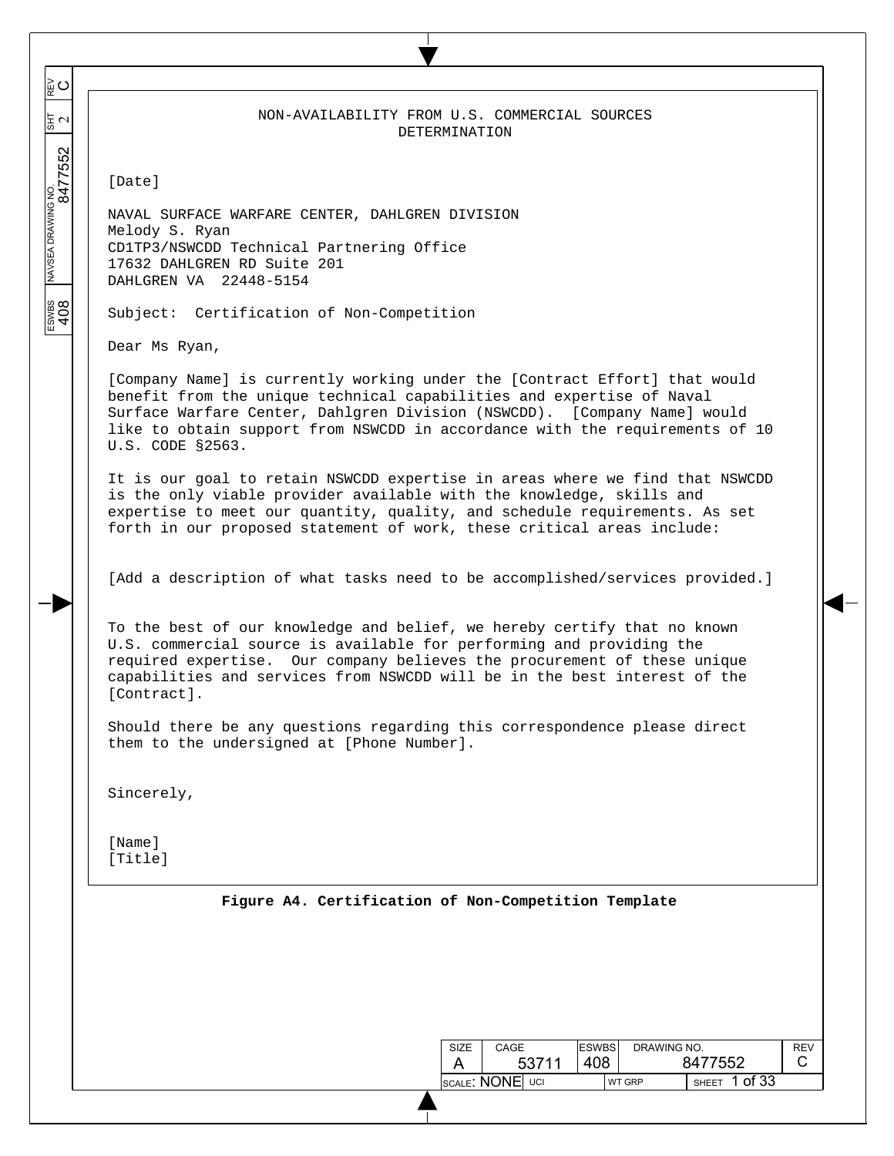|               |  | NON-AVAILABILITY FROM U.S. COMMERCIAL SOURCES |  |  |  |  |  |
|---------------|--|-----------------------------------------------|--|--|--|--|--|
| DETERMINATION |  |                                               |  |  |  |  |  |

[Date]

 $\overline{\phantom{a}}$  $\overline{\phantom{a}}$  $\overline{\phantom{a}}$ 

≌⊂

동신

 $\overline{\phantom{a}}$  $\overline{\phantom{a}}$ 

 $\overline{\phantom{a}}$ 

ESWBS NAVSEA DRAWING NO.  $\frac{1}{817}$  REV 8477552 2

 $\frac{200}{408}$ 

NAVAL SURFACE WARFARE CENTER, DAHLGREN DIVISION Melody S. Ryan CD1TP3/NSWCDD Technical Partnering Office 17632 DAHLGREN RD Suite 201 DAHLGREN VA 22448-5154

Subject: Certification of Non-Competition

Dear Ms Ryan,

[Company Name] is currently working under the [Contract Effort] that would benefit from the unique technical capabilities and expertise of Naval Surface Warfare Center, Dahlgren Division (NSWCDD). [Company Name] would like to obtain support from NSWCDD in accordance with the requirements of 10 U.S. CODE §2563.

It is our goal to retain NSWCDD expertise in areas where we find that NSWCDD is the only viable provider available with the knowledge, skills and expertise to meet our quantity, quality, and schedule requirements. As set forth in our proposed statement of work, these critical areas include:

[Add a description of what tasks need to be accomplished/services provided.]

To the best of our knowledge and belief, we hereby certify that no known U.S. commercial source is available for performing and providing the required expertise. Our company believes the procurement of these unique capabilities and services from NSWCDD will be in the best interest of the [Contract].

Should there be any questions regarding this correspondence please direct them to the undersigned at [Phone Number].

Sincerely,

[Name] [Title]

|  |  |  |  | Figure A4. Certification of Non-Competition Template |  |
|--|--|--|--|------------------------------------------------------|--|
|--|--|--|--|------------------------------------------------------|--|

| SIZE | CAGE            |       | <b>ESWBS</b> | DRAWING NO. |              |         | <b>REV</b> |
|------|-----------------|-------|--------------|-------------|--------------|---------|------------|
|      |                 | 53711 | 408          |             | 8477552      |         |            |
|      | SCALE: NONE UCI |       |              | WT GRP      | <b>SHEFT</b> | 1 of 33 |            |